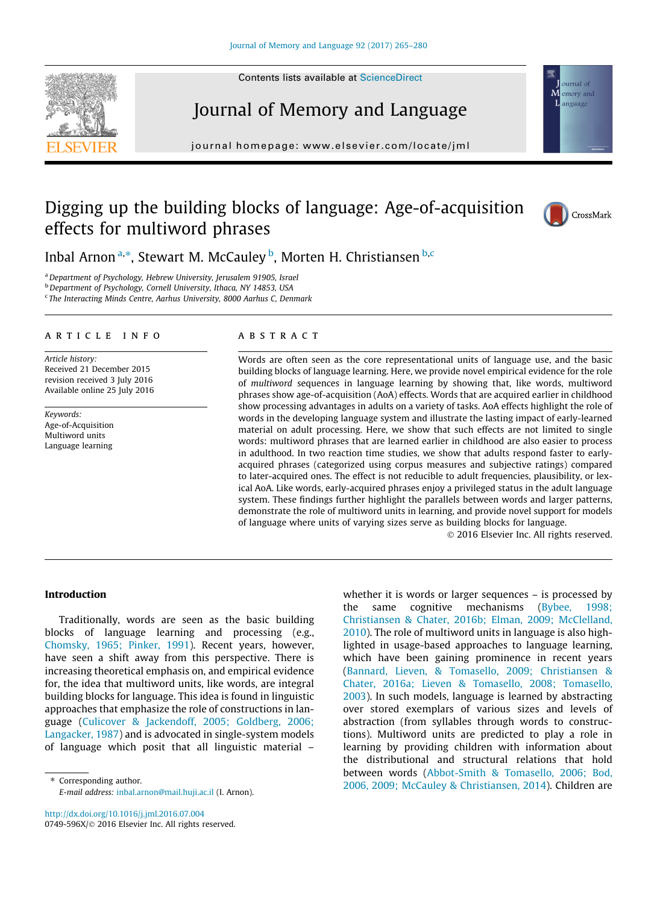



journal homepage: www.el [sevier.com/locate/jml](http://www.elsevier.com/locate/jml)

# Digging up the building blocks of language: Age-of-acquisition effects for multiword phrases



ournal of M emory and L anguage

Inbal Arnon<sup>a,</sup>\*, Stewart M. McCauley <sup>b</sup>, Morten H. Christiansen <sup>b,c</sup>

<sup>a</sup> Department of Psychology, Hebrew University, Jerusalem 91905, Israel

b<br>b Department of Psychology, Cornell University, Ithaca, NY 14853, USA

<sup>c</sup> The Interacting Minds Centre, Aarhus University, 8000 Aarhus C, Denmark

# article info

Article history: Received 21 December 2015 revision received 3 July 2016 Available online 25 July 2016

Keywords: Age-of-Acquisition Multiword units Language learning

### **ABSTRACT**

Words are often seen as the core representational units of language use, and the basic building blocks of language learning. Here, we provide novel empirical evidence for the role of multiword sequences in language learning by showing that, like words, multiword phrases show age-of-acquisition (AoA) effects. Words that are acquired earlier in childhood show processing advantages in adults on a variety of tasks. AoA effects highlight the role of words in the developing language system and illustrate the lasting impact of early-learned material on adult processing. Here, we show that such effects are not limited to single words: multiword phrases that are learned earlier in childhood are also easier to process in adulthood. In two reaction time studies, we show that adults respond faster to earlyacquired phrases (categorized using corpus measures and subjective ratings) compared to later-acquired ones. The effect is not reducible to adult frequencies, plausibility, or lexical AoA. Like words, early-acquired phrases enjoy a privileged status in the adult language system. These findings further highlight the parallels between words and larger patterns, demonstrate the role of multiword units in learning, and provide novel support for models of language where units of varying sizes serve as building blocks for language.

2016 Elsevier Inc. All rights reserved.

# Introduction

Traditionally, words are seen as the basic building blocks of language learning and processing (e.g., [Chomsky, 1965; Pinker, 1991\)](#page-14-0). Recent years, however, have seen a shift away from this perspective. There is increasing theoretical emphasis on, and empirical evidence for, the idea that multiword units, like words, are integral building blocks for language. This idea is found in linguistic approaches that emphasize the role of constructions in language ([Culicover & Jackendoff, 2005; Goldberg, 2006;](#page-14-0) [Langacker, 1987\)](#page-14-0) and is advocated in single-system models of language which posit that all linguistic material –

⇑ Corresponding author. E-mail address: [inbal.arnon@mail.huji.ac.il](mailto:inbal.arnon@mail.huji.ac.il) (I. Arnon).

<http://dx.doi.org/10.1016/j.jml.2016.07.004> 0749-596X/© 2016 Elsevier Inc. All rights reserved. whether it is words or larger sequences – is processed by the same cognitive mechanisms ([Bybee, 1998;](#page-14-0) [Christiansen & Chater, 2016b; Elman, 2009; McClelland,](#page-14-0) [2010\)](#page-14-0). The role of multiword units in language is also highlighted in usage-based approaches to language learning, which have been gaining prominence in recent years [\(Bannard, Lieven, & Tomasello, 2009; Christiansen &](#page-14-0) [Chater, 2016a; Lieven & Tomasello, 2008; Tomasello,](#page-14-0) [2003\)](#page-14-0). In such models, language is learned by abstracting over stored exemplars of various sizes and levels of abstraction (from syllables through words to constructions). Multiword units are predicted to play a role in learning by providing children with information about the distributional and structural relations that hold between words ([Abbot-Smith & Tomasello, 2006; Bod,](#page-14-0) [2006, 2009; McCauley & Christiansen, 2014\)](#page-14-0). Children are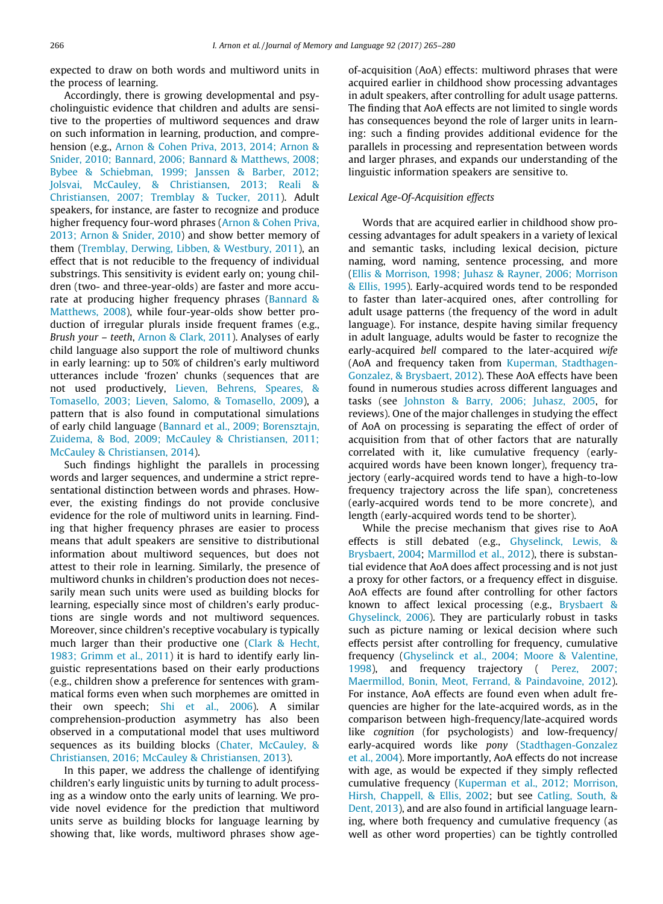expected to draw on both words and multiword units in the process of learning.

Accordingly, there is growing developmental and psycholinguistic evidence that children and adults are sensitive to the properties of multiword sequences and draw on such information in learning, production, and comprehension (e.g., [Arnon & Cohen Priva, 2013, 2014; Arnon &](#page-14-0) [Snider, 2010; Bannard, 2006; Bannard & Matthews, 2008;](#page-14-0) [Bybee & Schiebman, 1999; Janssen & Barber, 2012;](#page-14-0) [Jolsvai, McCauley, & Christiansen, 2013; Reali &](#page-14-0) [Christiansen, 2007; Tremblay & Tucker, 2011\)](#page-14-0). Adult speakers, for instance, are faster to recognize and produce higher frequency four-word phrases [\(Arnon & Cohen Priva,](#page-14-0) [2013; Arnon & Snider, 2010\)](#page-14-0) and show better memory of them [\(Tremblay, Derwing, Libben, & Westbury, 2011](#page-15-0)), an effect that is not reducible to the frequency of individual substrings. This sensitivity is evident early on; young children (two- and three-year-olds) are faster and more accurate at producing higher frequency phrases ([Bannard &](#page-14-0) [Matthews, 2008\)](#page-14-0), while four-year-olds show better production of irregular plurals inside frequent frames (e.g., Brush your – teeth, [Arnon & Clark, 2011](#page-14-0)). Analyses of early child language also support the role of multiword chunks in early learning: up to 50% of children's early multiword utterances include 'frozen' chunks (sequences that are not used productively, [Lieven, Behrens, Speares, &](#page-14-0) [Tomasello, 2003; Lieven, Salomo, & Tomasello, 2009](#page-14-0)), a pattern that is also found in computational simulations of early child language ([Bannard et al., 2009; Borensztajn,](#page-14-0) [Zuidema, & Bod, 2009; McCauley & Christiansen, 2011;](#page-14-0) [McCauley & Christiansen, 2014](#page-14-0)).

Such findings highlight the parallels in processing words and larger sequences, and undermine a strict representational distinction between words and phrases. However, the existing findings do not provide conclusive evidence for the role of multiword units in learning. Finding that higher frequency phrases are easier to process means that adult speakers are sensitive to distributional information about multiword sequences, but does not attest to their role in learning. Similarly, the presence of multiword chunks in children's production does not necessarily mean such units were used as building blocks for learning, especially since most of children's early productions are single words and not multiword sequences. Moreover, since children's receptive vocabulary is typically much larger than their productive one [\(Clark & Hecht,](#page-14-0) [1983; Grimm et al., 2011](#page-14-0)) it is hard to identify early linguistic representations based on their early productions (e.g., children show a preference for sentences with grammatical forms even when such morphemes are omitted in their own speech; [Shi et al., 2006\)](#page-15-0). A similar comprehension-production asymmetry has also been observed in a computational model that uses multiword sequences as its building blocks ([Chater, McCauley, &](#page-14-0) [Christiansen, 2016; McCauley & Christiansen, 2013](#page-14-0)).

In this paper, we address the challenge of identifying children's early linguistic units by turning to adult processing as a window onto the early units of learning. We provide novel evidence for the prediction that multiword units serve as building blocks for language learning by showing that, like words, multiword phrases show age-

of-acquisition (AoA) effects: multiword phrases that were acquired earlier in childhood show processing advantages in adult speakers, after controlling for adult usage patterns. The finding that AoA effects are not limited to single words has consequences beyond the role of larger units in learning: such a finding provides additional evidence for the parallels in processing and representation between words and larger phrases, and expands our understanding of the linguistic information speakers are sensitive to.

#### Lexical Age-Of-Acquisition effects

Words that are acquired earlier in childhood show processing advantages for adult speakers in a variety of lexical and semantic tasks, including lexical decision, picture naming, word naming, sentence processing, and more [\(Ellis & Morrison, 1998; Juhasz & Rayner, 2006; Morrison](#page-14-0) [& Ellis, 1995](#page-14-0)). Early-acquired words tend to be responded to faster than later-acquired ones, after controlling for adult usage patterns (the frequency of the word in adult language). For instance, despite having similar frequency in adult language, adults would be faster to recognize the early-acquired bell compared to the later-acquired wife (AoA and frequency taken from [Kuperman, Stadthagen-](#page-14-0)[Gonzalez, & Brysbaert, 2012\)](#page-14-0). These AoA effects have been found in numerous studies across different languages and tasks (see [Johnston & Barry, 2006; Juhasz, 2005](#page-14-0), for reviews). One of the major challenges in studying the effect of AoA on processing is separating the effect of order of acquisition from that of other factors that are naturally correlated with it, like cumulative frequency (earlyacquired words have been known longer), frequency trajectory (early-acquired words tend to have a high-to-low frequency trajectory across the life span), concreteness (early-acquired words tend to be more concrete), and length (early-acquired words tend to be shorter).

While the precise mechanism that gives rise to AoA effects is still debated (e.g., [Ghyselinck, Lewis, &](#page-14-0) [Brysbaert, 2004;](#page-14-0) [Marmillod et al., 2012\)](#page-15-0), there is substantial evidence that AoA does affect processing and is not just a proxy for other factors, or a frequency effect in disguise. AoA effects are found after controlling for other factors known to affect lexical processing (e.g., [Brysbaert &](#page-14-0) [Ghyselinck, 2006\)](#page-14-0). They are particularly robust in tasks such as picture naming or lexical decision where such effects persist after controlling for frequency, cumulative frequency [\(Ghyselinck et al., 2004; Moore & Valentine,](#page-14-0) [1998](#page-14-0)), and frequency trajectory ( [Perez, 2007;](#page-15-0) [Maermillod, Bonin, Meot, Ferrand, & Paindavoine, 2012](#page-15-0)). For instance, AoA effects are found even when adult frequencies are higher for the late-acquired words, as in the comparison between high-frequency/late-acquired words like cognition (for psychologists) and low-frequency/ early-acquired words like pony [\(Stadthagen-Gonzalez](#page-15-0) [et al., 2004](#page-15-0)). More importantly, AoA effects do not increase with age, as would be expected if they simply reflected cumulative frequency ([Kuperman et al., 2012; Morrison,](#page-14-0) [Hirsh, Chappell, & Ellis, 2002;](#page-14-0) but see [Catling, South, &](#page-14-0) [Dent, 2013](#page-14-0)), and are also found in artificial language learning, where both frequency and cumulative frequency (as well as other word properties) can be tightly controlled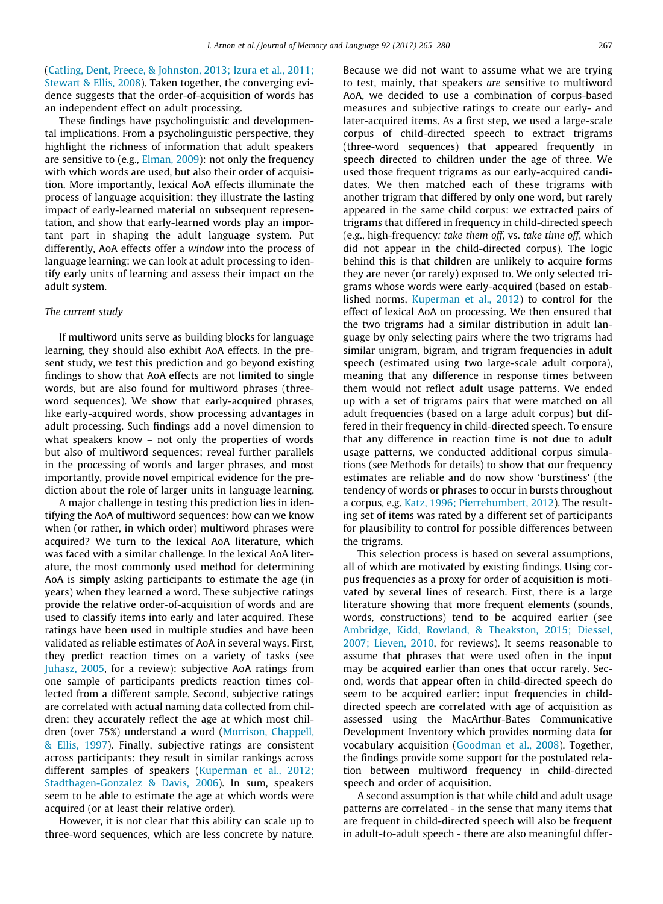([Catling, Dent, Preece, & Johnston, 2013; Izura et al., 2011;](#page-14-0) [Stewart & Ellis, 2008\)](#page-14-0). Taken together, the converging evidence suggests that the order-of-acquisition of words has an independent effect on adult processing.

These findings have psycholinguistic and developmental implications. From a psycholinguistic perspective, they highlight the richness of information that adult speakers are sensitive to (e.g., [Elman, 2009\)](#page-14-0): not only the frequency with which words are used, but also their order of acquisition. More importantly, lexical AoA effects illuminate the process of language acquisition: they illustrate the lasting impact of early-learned material on subsequent representation, and show that early-learned words play an important part in shaping the adult language system. Put differently, AoA effects offer a window into the process of language learning: we can look at adult processing to identify early units of learning and assess their impact on the adult system.

# The current study

If multiword units serve as building blocks for language learning, they should also exhibit AoA effects. In the present study, we test this prediction and go beyond existing findings to show that AoA effects are not limited to single words, but are also found for multiword phrases (threeword sequences). We show that early-acquired phrases, like early-acquired words, show processing advantages in adult processing. Such findings add a novel dimension to what speakers know – not only the properties of words but also of multiword sequences; reveal further parallels in the processing of words and larger phrases, and most importantly, provide novel empirical evidence for the prediction about the role of larger units in language learning.

A major challenge in testing this prediction lies in identifying the AoA of multiword sequences: how can we know when (or rather, in which order) multiword phrases were acquired? We turn to the lexical AoA literature, which was faced with a similar challenge. In the lexical AoA literature, the most commonly used method for determining AoA is simply asking participants to estimate the age (in years) when they learned a word. These subjective ratings provide the relative order-of-acquisition of words and are used to classify items into early and later acquired. These ratings have been used in multiple studies and have been validated as reliable estimates of AoA in several ways. First, they predict reaction times on a variety of tasks (see [Juhasz, 2005,](#page-14-0) for a review): subjective AoA ratings from one sample of participants predicts reaction times collected from a different sample. Second, subjective ratings are correlated with actual naming data collected from children: they accurately reflect the age at which most children (over 75%) understand a word [\(Morrison, Chappell,](#page-15-0) [& Ellis, 1997](#page-15-0)). Finally, subjective ratings are consistent across participants: they result in similar rankings across different samples of speakers ([Kuperman et al., 2012;](#page-14-0) [Stadthagen-Gonzalez & Davis, 2006](#page-14-0)). In sum, speakers seem to be able to estimate the age at which words were acquired (or at least their relative order).

However, it is not clear that this ability can scale up to three-word sequences, which are less concrete by nature.

Because we did not want to assume what we are trying to test, mainly, that speakers are sensitive to multiword AoA, we decided to use a combination of corpus-based measures and subjective ratings to create our early- and later-acquired items. As a first step, we used a large-scale corpus of child-directed speech to extract trigrams (three-word sequences) that appeared frequently in speech directed to children under the age of three. We used those frequent trigrams as our early-acquired candidates. We then matched each of these trigrams with another trigram that differed by only one word, but rarely appeared in the same child corpus: we extracted pairs of trigrams that differed in frequency in child-directed speech (e.g., high-frequency: take them off, vs. take time off, which did not appear in the child-directed corpus). The logic behind this is that children are unlikely to acquire forms they are never (or rarely) exposed to. We only selected trigrams whose words were early-acquired (based on established norms, [Kuperman et al., 2012\)](#page-14-0) to control for the effect of lexical AoA on processing. We then ensured that the two trigrams had a similar distribution in adult language by only selecting pairs where the two trigrams had similar unigram, bigram, and trigram frequencies in adult speech (estimated using two large-scale adult corpora), meaning that any difference in response times between them would not reflect adult usage patterns. We ended up with a set of trigrams pairs that were matched on all adult frequencies (based on a large adult corpus) but differed in their frequency in child-directed speech. To ensure that any difference in reaction time is not due to adult usage patterns, we conducted additional corpus simulations (see Methods for details) to show that our frequency estimates are reliable and do now show 'burstiness' (the tendency of words or phrases to occur in bursts throughout a corpus, e.g. [Katz, 1996; Pierrehumbert, 2012](#page-14-0)). The resulting set of items was rated by a different set of participants for plausibility to control for possible differences between the trigrams.

This selection process is based on several assumptions, all of which are motivated by existing findings. Using corpus frequencies as a proxy for order of acquisition is motivated by several lines of research. First, there is a large literature showing that more frequent elements (sounds, words, constructions) tend to be acquired earlier (see [Ambridge, Kidd, Rowland, & Theakston, 2015; Diessel,](#page-14-0) [2007; Lieven, 2010](#page-14-0), for reviews). It seems reasonable to assume that phrases that were used often in the input may be acquired earlier than ones that occur rarely. Second, words that appear often in child-directed speech do seem to be acquired earlier: input frequencies in childdirected speech are correlated with age of acquisition as assessed using the MacArthur-Bates Communicative Development Inventory which provides norming data for vocabulary acquisition [\(Goodman et al., 2008](#page-14-0)). Together, the findings provide some support for the postulated relation between multiword frequency in child-directed speech and order of acquisition.

A second assumption is that while child and adult usage patterns are correlated - in the sense that many items that are frequent in child-directed speech will also be frequent in adult-to-adult speech - there are also meaningful differ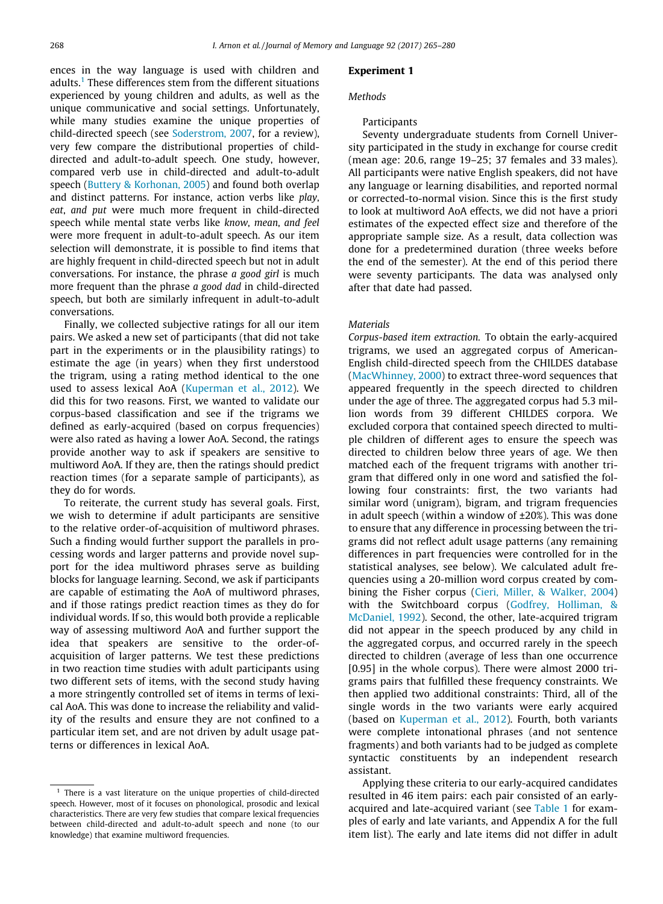ences in the way language is used with children and adults.<sup>1</sup> These differences stem from the different situations experienced by young children and adults, as well as the unique communicative and social settings. Unfortunately, while many studies examine the unique properties of child-directed speech (see [Soderstrom, 2007](#page-15-0), for a review), very few compare the distributional properties of childdirected and adult-to-adult speech. One study, however, compared verb use in child-directed and adult-to-adult speech [\(Buttery & Korhonan, 2005](#page-14-0)) and found both overlap and distinct patterns. For instance, action verbs like play, eat, and put were much more frequent in child-directed speech while mental state verbs like know, mean, and feel were more frequent in adult-to-adult speech. As our item selection will demonstrate, it is possible to find items that are highly frequent in child-directed speech but not in adult conversations. For instance, the phrase a good girl is much more frequent than the phrase a good dad in child-directed speech, but both are similarly infrequent in adult-to-adult conversations.

Finally, we collected subjective ratings for all our item pairs. We asked a new set of participants (that did not take part in the experiments or in the plausibility ratings) to estimate the age (in years) when they first understood the trigram, using a rating method identical to the one used to assess lexical AoA [\(Kuperman et al., 2012\)](#page-14-0). We did this for two reasons. First, we wanted to validate our corpus-based classification and see if the trigrams we defined as early-acquired (based on corpus frequencies) were also rated as having a lower AoA. Second, the ratings provide another way to ask if speakers are sensitive to multiword AoA. If they are, then the ratings should predict reaction times (for a separate sample of participants), as they do for words.

To reiterate, the current study has several goals. First, we wish to determine if adult participants are sensitive to the relative order-of-acquisition of multiword phrases. Such a finding would further support the parallels in processing words and larger patterns and provide novel support for the idea multiword phrases serve as building blocks for language learning. Second, we ask if participants are capable of estimating the AoA of multiword phrases, and if those ratings predict reaction times as they do for individual words. If so, this would both provide a replicable way of assessing multiword AoA and further support the idea that speakers are sensitive to the order-ofacquisition of larger patterns. We test these predictions in two reaction time studies with adult participants using two different sets of items, with the second study having a more stringently controlled set of items in terms of lexical AoA. This was done to increase the reliability and validity of the results and ensure they are not confined to a particular item set, and are not driven by adult usage patterns or differences in lexical AoA.

#### Experiment 1

### **Methods**

#### Participants

Seventy undergraduate students from Cornell University participated in the study in exchange for course credit (mean age: 20.6, range 19–25; 37 females and 33 males). All participants were native English speakers, did not have any language or learning disabilities, and reported normal or corrected-to-normal vision. Since this is the first study to look at multiword AoA effects, we did not have a priori estimates of the expected effect size and therefore of the appropriate sample size. As a result, data collection was done for a predetermined duration (three weeks before the end of the semester). At the end of this period there were seventy participants. The data was analysed only after that date had passed.

#### **Materials**

Corpus-based item extraction. To obtain the early-acquired trigrams, we used an aggregated corpus of American-English child-directed speech from the CHILDES database [\(MacWhinney, 2000\)](#page-15-0) to extract three-word sequences that appeared frequently in the speech directed to children under the age of three. The aggregated corpus had 5.3 million words from 39 different CHILDES corpora. We excluded corpora that contained speech directed to multiple children of different ages to ensure the speech was directed to children below three years of age. We then matched each of the frequent trigrams with another trigram that differed only in one word and satisfied the following four constraints: first, the two variants had similar word (unigram), bigram, and trigram frequencies in adult speech (within a window of ±20%). This was done to ensure that any difference in processing between the trigrams did not reflect adult usage patterns (any remaining differences in part frequencies were controlled for in the statistical analyses, see below). We calculated adult frequencies using a 20-million word corpus created by combining the Fisher corpus [\(Cieri, Miller, & Walker, 2004](#page-14-0)) with the Switchboard corpus [\(Godfrey, Holliman, &](#page-14-0) [McDaniel, 1992\)](#page-14-0). Second, the other, late-acquired trigram did not appear in the speech produced by any child in the aggregated corpus, and occurred rarely in the speech directed to children (average of less than one occurrence [0.95] in the whole corpus). There were almost 2000 trigrams pairs that fulfilled these frequency constraints. We then applied two additional constraints: Third, all of the single words in the two variants were early acquired (based on [Kuperman et al., 2012](#page-14-0)). Fourth, both variants were complete intonational phrases (and not sentence fragments) and both variants had to be judged as complete syntactic constituents by an independent research assistant.

Applying these criteria to our early-acquired candidates resulted in 46 item pairs: each pair consisted of an early-acquired and late-acquired variant (see [Table 1](#page-4-0) for examples of early and late variants, and Appendix A for the full item list). The early and late items did not differ in adult

<sup>1</sup> There is a vast literature on the unique properties of child-directed speech. However, most of it focuses on phonological, prosodic and lexical characteristics. There are very few studies that compare lexical frequencies between child-directed and adult-to-adult speech and none (to our knowledge) that examine multiword frequencies.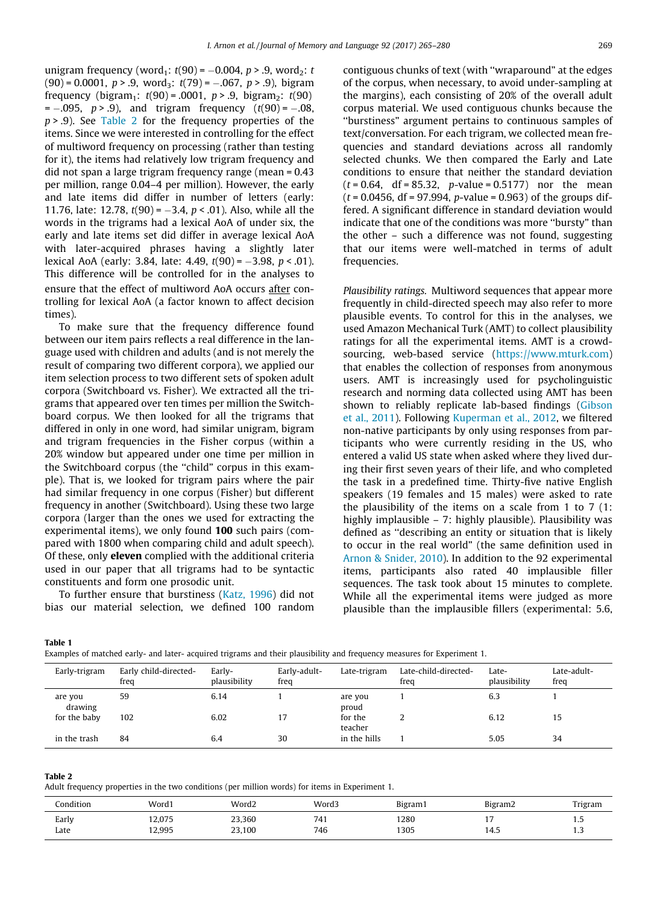<span id="page-4-0"></span>unigram frequency (word<sub>1</sub>:  $t(90) = -0.004$ ,  $p > 0.9$ , word<sub>2</sub>: t  $(90) = 0.0001$ ,  $p > .9$ , word<sub>3</sub>:  $t(79) = -.067$ ,  $p > .9$ ), bigram frequency (bigram<sub>1</sub>:  $t(90) = .0001$ ,  $p > .9$ , bigram<sub>2</sub>:  $t(90)$  $= -.095, p > .9$ ), and trigram frequency  $(t(90) = -.08,$  $p > .9$ ). See Table 2 for the frequency properties of the items. Since we were interested in controlling for the effect of multiword frequency on processing (rather than testing for it), the items had relatively low trigram frequency and did not span a large trigram frequency range (mean = 0.43 per million, range 0.04–4 per million). However, the early and late items did differ in number of letters (early: 11.76, late: 12.78,  $t(90) = -3.4$ ,  $p < .01$ ). Also, while all the words in the trigrams had a lexical AoA of under six, the early and late items set did differ in average lexical AoA with later-acquired phrases having a slightly later lexical AoA (early: 3.84, late: 4.49,  $t(90) = -3.98$ ,  $p < .01$ ). This difference will be controlled for in the analyses to ensure that the effect of multiword AoA occurs after controlling for lexical AoA (a factor known to affect decision times).

To make sure that the frequency difference found between our item pairs reflects a real difference in the language used with children and adults (and is not merely the result of comparing two different corpora), we applied our item selection process to two different sets of spoken adult corpora (Switchboard vs. Fisher). We extracted all the trigrams that appeared over ten times per million the Switchboard corpus. We then looked for all the trigrams that differed in only in one word, had similar unigram, bigram and trigram frequencies in the Fisher corpus (within a 20% window but appeared under one time per million in the Switchboard corpus (the ''child" corpus in this example). That is, we looked for trigram pairs where the pair had similar frequency in one corpus (Fisher) but different frequency in another (Switchboard). Using these two large corpora (larger than the ones we used for extracting the experimental items), we only found 100 such pairs (compared with 1800 when comparing child and adult speech). Of these, only eleven complied with the additional criteria used in our paper that all trigrams had to be syntactic constituents and form one prosodic unit.

To further ensure that burstiness ([Katz, 1996\)](#page-14-0) did not bias our material selection, we defined 100 random contiguous chunks of text (with ''wraparound" at the edges of the corpus, when necessary, to avoid under-sampling at the margins), each consisting of 20% of the overall adult corpus material. We used contiguous chunks because the ''burstiness" argument pertains to continuous samples of text/conversation. For each trigram, we collected mean frequencies and standard deviations across all randomly selected chunks. We then compared the Early and Late conditions to ensure that neither the standard deviation  $(t = 0.64, df = 85.32, p-value = 0.5177)$  nor the mean  $(t = 0.0456, df = 97.994, p-value = 0.963)$  of the groups differed. A significant difference in standard deviation would indicate that one of the conditions was more ''bursty" than the other – such a difference was not found, suggesting that our items were well-matched in terms of adult frequencies.

Plausibility ratings. Multiword sequences that appear more frequently in child-directed speech may also refer to more plausible events. To control for this in the analyses, we used Amazon Mechanical Turk (AMT) to collect plausibility ratings for all the experimental items. AMT is a crowdsourcing, web-based service (<https://www.mturk.com>) that enables the collection of responses from anonymous users. AMT is increasingly used for psycholinguistic research and norming data collected using AMT has been shown to reliably replicate lab-based findings ([Gibson](#page-14-0) [et al., 2011](#page-14-0)). Following [Kuperman et al., 2012,](#page-14-0) we filtered non-native participants by only using responses from participants who were currently residing in the US, who entered a valid US state when asked where they lived during their first seven years of their life, and who completed the task in a predefined time. Thirty-five native English speakers (19 females and 15 males) were asked to rate the plausibility of the items on a scale from  $1$  to  $7$  ( $1$ : highly implausible – 7: highly plausible). Plausibility was defined as ''describing an entity or situation that is likely to occur in the real world" (the same definition used in [Arnon & Snider, 2010\)](#page-14-0). In addition to the 92 experimental items, participants also rated 40 implausible filler sequences. The task took about 15 minutes to complete. While all the experimental items were judged as more plausible than the implausible fillers (experimental: 5.6,

Table 1

Examples of matched early- and later- acquired trigrams and their plausibility and frequency measures for Experiment 1.

| Early-trigram      | Early child-directed-<br>frea | Early-<br>plausibility | Early-adult-<br>frea | Late-trigram       | Late-child-directed-<br>frea | Late-<br>plausibility | Late-adult-<br>frea |
|--------------------|-------------------------------|------------------------|----------------------|--------------------|------------------------------|-----------------------|---------------------|
| are you<br>drawing | 59                            | 6.14                   |                      | are you<br>proud   |                              | 6.3                   |                     |
| for the baby       | 102                           | 6.02                   | 17                   | for the<br>teacher |                              | 6.12                  | 15                  |
| in the trash       | 84                            | 6.4                    | 30                   | in the hills       |                              | 5.05                  | 34                  |

Table 2

Adult frequency properties in the two conditions (per million words) for items in Experiment 1.

| Condition     | Word1            | Word2            | Word3      | Bigram1           | Bigram2 | Trigram                      |
|---------------|------------------|------------------|------------|-------------------|---------|------------------------------|
| Early<br>Late | 12,075<br>12,995 | 23,360<br>23,100 | 741<br>746 | 1280<br>1305<br>. | 14.J    | ر., ۱<br>$\sim$ $\sim$<br>ر… |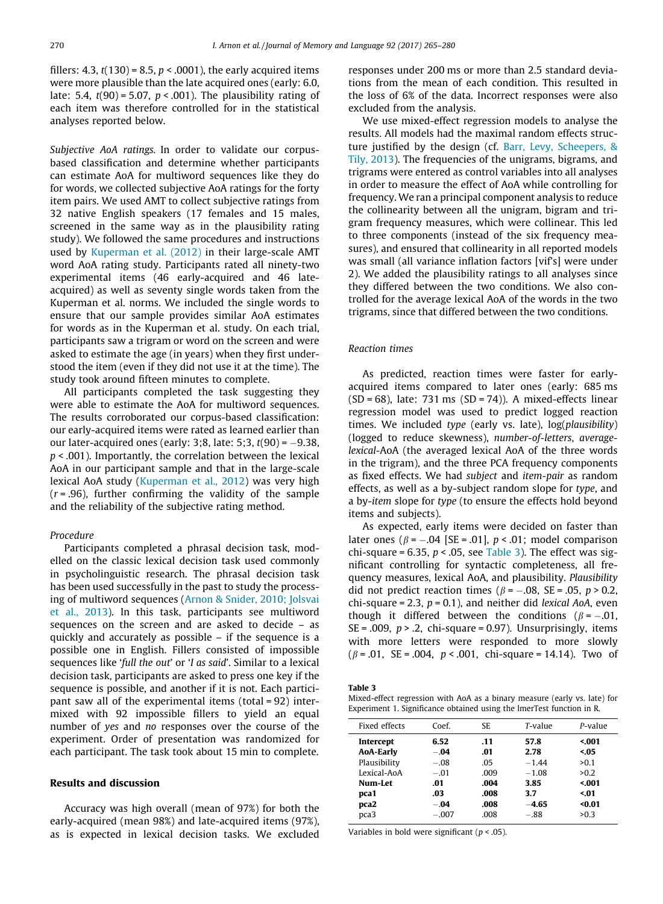fillers: 4.3,  $t(130) = 8.5$ ,  $p < .0001$ ), the early acquired items were more plausible than the late acquired ones (early: 6.0, late: 5.4,  $t(90) = 5.07$ ,  $p < .001$ ). The plausibility rating of each item was therefore controlled for in the statistical analyses reported below.

Subjective AoA ratings. In order to validate our corpusbased classification and determine whether participants can estimate AoA for multiword sequences like they do for words, we collected subjective AoA ratings for the forty item pairs. We used AMT to collect subjective ratings from 32 native English speakers (17 females and 15 males, screened in the same way as in the plausibility rating study). We followed the same procedures and instructions used by [Kuperman et al. \(2012\)](#page-14-0) in their large-scale AMT word AoA rating study. Participants rated all ninety-two experimental items (46 early-acquired and 46 lateacquired) as well as seventy single words taken from the Kuperman et al. norms. We included the single words to ensure that our sample provides similar AoA estimates for words as in the Kuperman et al. study. On each trial, participants saw a trigram or word on the screen and were asked to estimate the age (in years) when they first understood the item (even if they did not use it at the time). The study took around fifteen minutes to complete.

All participants completed the task suggesting they were able to estimate the AoA for multiword sequences. The results corroborated our corpus-based classification: our early-acquired items were rated as learned earlier than our later-acquired ones (early: 3;8, late: 5;3,  $t(90) = -9.38$ ,  $p$  < .001). Importantly, the correlation between the lexical AoA in our participant sample and that in the large-scale lexical AoA study ([Kuperman et al., 2012](#page-14-0)) was very high  $(r = .96)$ , further confirming the validity of the sample and the reliability of the subjective rating method.

#### Procedure

Participants completed a phrasal decision task, modelled on the classic lexical decision task used commonly in psycholinguistic research. The phrasal decision task has been used successfully in the past to study the processing of multiword sequences ([Arnon & Snider, 2010; Jolsvai](#page-14-0) [et al., 2013\)](#page-14-0). In this task, participants see multiword sequences on the screen and are asked to decide – as quickly and accurately as possible – if the sequence is a possible one in English. Fillers consisted of impossible sequences like 'full the out' or 'I as said'. Similar to a lexical decision task, participants are asked to press one key if the sequence is possible, and another if it is not. Each participant saw all of the experimental items (total = 92) intermixed with 92 impossible fillers to yield an equal number of yes and no responses over the course of the experiment. Order of presentation was randomized for each participant. The task took about 15 min to complete.

#### Results and discussion

Accuracy was high overall (mean of 97%) for both the early-acquired (mean 98%) and late-acquired items (97%), as is expected in lexical decision tasks. We excluded responses under 200 ms or more than 2.5 standard deviations from the mean of each condition. This resulted in the loss of 6% of the data. Incorrect responses were also excluded from the analysis.

We use mixed-effect regression models to analyse the results. All models had the maximal random effects structure justified by the design (cf. [Barr, Levy, Scheepers, &](#page-14-0) [Tily, 2013\)](#page-14-0). The frequencies of the unigrams, bigrams, and trigrams were entered as control variables into all analyses in order to measure the effect of AoA while controlling for frequency. We ran a principal component analysis to reduce the collinearity between all the unigram, bigram and trigram frequency measures, which were collinear. This led to three components (instead of the six frequency measures), and ensured that collinearity in all reported models was small (all variance inflation factors [vif's] were under 2). We added the plausibility ratings to all analyses since they differed between the two conditions. We also controlled for the average lexical AoA of the words in the two trigrams, since that differed between the two conditions.

#### Reaction times

As predicted, reaction times were faster for earlyacquired items compared to later ones (early: 685 ms  $(SD = 68)$ , late: 731 ms  $(SD = 74)$ ). A mixed-effects linear regression model was used to predict logged reaction times. We included type (early vs. late), log(plausibility) (logged to reduce skewness), number-of-letters, averagelexical-AoA (the averaged lexical AoA of the three words in the trigram), and the three PCA frequency components as fixed effects. We had subject and item-pair as random effects, as well as a by-subject random slope for type, and a by-item slope for type (to ensure the effects hold beyond items and subjects).

As expected, early items were decided on faster than later ones ( $\beta$  = -.04 [SE = .01],  $p < .01$ ; model comparison chi-square = 6.35,  $p < .05$ , see Table 3). The effect was significant controlling for syntactic completeness, all frequency measures, lexical AoA, and plausibility. Plausibility did not predict reaction times ( $\beta$  = -.08, SE = .05, p > 0.2, chi-square = 2.3,  $p = 0.1$ ), and neither did lexical AoA, even though it differed between the conditions ( $\beta$  = -.01,  $SE = .009$ ,  $p > .2$ , chi-square = 0.97). Unsurprisingly, items with more letters were responded to more slowly  $(\beta = .01, \text{ SE} = .004, p < .001, \text{ chi-square} = 14.14)$ . Two of

Table 3 Mixed-effect regression with AoA as a binary measure (early vs. late) for Experiment 1. Significance obtained using the lmerTest function in R.

| Fixed effects                                                                           | Coef.                                                      | SE.                                               | $T$ -value                                                   | P-value                                                    |
|-----------------------------------------------------------------------------------------|------------------------------------------------------------|---------------------------------------------------|--------------------------------------------------------------|------------------------------------------------------------|
| Intercept<br><b>AoA-Early</b><br>Plausibility<br>Lexical-AoA<br>Num-Let<br>pca1<br>pca2 | 6.52<br>$-.04$<br>$-.08$<br>$-.01$<br>.01<br>.03<br>$-.04$ | .11<br>.01<br>.05<br>.009<br>.004<br>.008<br>.008 | 57.8<br>2.78<br>$-1.44$<br>$-1.08$<br>3.85<br>3.7<br>$-4.65$ | < 001<br>< 0.05<br>>0.1<br>>0.2<br>< 001<br>$01$<br>$0.01$ |
| pca3                                                                                    | $-.007$                                                    | .008                                              | $-.88$                                                       | >0.3                                                       |

Variables in bold were significant ( $p < .05$ ).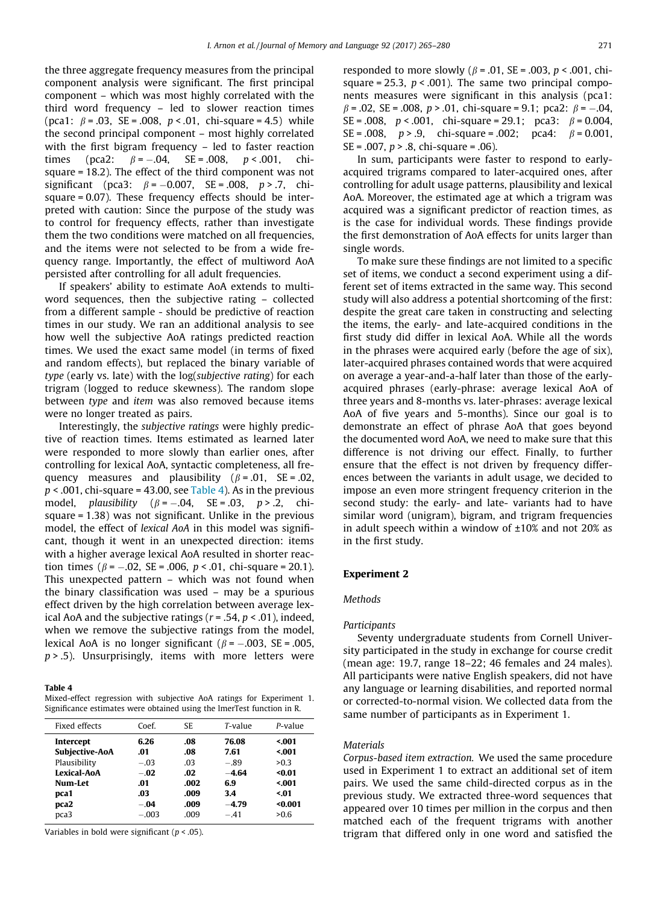the three aggregate frequency measures from the principal component analysis were significant. The first principal component – which was most highly correlated with the third word frequency – led to slower reaction times (pca1:  $\beta$  = .03, SE = .008, p < .01, chi-square = 4.5) while the second principal component – most highly correlated with the first bigram frequency – led to faster reaction times (pca2:  $\beta = -.04$ , SE = .008, p < .001, chisquare = 18.2). The effect of the third component was not significant (pca3:  $\beta = -0.007$ , SE = .008, p > .7, chisquare  $= 0.07$ ). These frequency effects should be interpreted with caution: Since the purpose of the study was to control for frequency effects, rather than investigate them the two conditions were matched on all frequencies, and the items were not selected to be from a wide frequency range. Importantly, the effect of multiword AoA persisted after controlling for all adult frequencies.

If speakers' ability to estimate AoA extends to multiword sequences, then the subjective rating – collected from a different sample - should be predictive of reaction times in our study. We ran an additional analysis to see how well the subjective AoA ratings predicted reaction times. We used the exact same model (in terms of fixed and random effects), but replaced the binary variable of type (early vs. late) with the log(subjective rating) for each trigram (logged to reduce skewness). The random slope between type and item was also removed because items were no longer treated as pairs.

Interestingly, the subjective ratings were highly predictive of reaction times. Items estimated as learned later were responded to more slowly than earlier ones, after controlling for lexical AoA, syntactic completeness, all frequency measures and plausibility ( $\beta$  = .01, SE = .02,  $p < .001$ , chi-square = 43.00, see Table 4). As in the previous model, plausibility  $(\beta = -.04, \text{ SE} = .03, p > .2, \text{ chi}$ square = 1.38) was not significant. Unlike in the previous model, the effect of lexical AoA in this model was significant, though it went in an unexpected direction: items with a higher average lexical AoA resulted in shorter reaction times ( $\beta$  = -.02, SE = .006,  $p < .01$ , chi-square = 20.1). This unexpected pattern – which was not found when the binary classification was used – may be a spurious effect driven by the high correlation between average lexical AoA and the subjective ratings ( $r = .54$ ,  $p < .01$ ), indeed, when we remove the subjective ratings from the model, lexical AoA is no longer significant ( $\beta$  = -.003, SE = .005,  $p > 0.5$ ). Unsurprisingly, items with more letters were

#### Table 4

Mixed-effect regression with subjective AoA ratings for Experiment 1. Significance estimates were obtained using the lmerTest function in R.

| Fixed effects  | Coef.   | SE.  | $T$ -value | P-value |
|----------------|---------|------|------------|---------|
| Intercept      | 6.26    | .08  | 76.08      | < 001   |
| Subjective-AoA | .01     | .08  | 7.61       | < 001   |
| Plausibility   | $-.03$  | .03  | $-.89$     | >0.3    |
| Lexical-AoA    | $-.02$  | .02  | $-4.64$    | $0.01$  |
| Num-Let        | .01     | .002 | 6.9        | < 001   |
| pca1           | .03     | .009 | 3.4        | < 01    |
| pca2           | $-.04$  | .009 | $-4.79$    | $0.001$ |
| pca3           | $-.003$ | .009 | $-.41$     | >0.6    |

Variables in bold were significant ( $p < .05$ ).

responded to more slowly ( $\beta$  = .01, SE = .003, p < .001, chisquare = 25.3,  $p < .001$ ). The same two principal components measures were significant in this analysis (pca1:  $\beta$  = .02, SE = .008, p > .01, chi-square = 9.1; pca2:  $\beta$  = -.04, SE = .008,  $p < .001$ , chi-square = 29.1; pca3:  $\beta$  = 0.004, SE = .008,  $p > .9$ , chi-square = .002; pca4:  $\beta = 0.001$ , SE = .007,  $p > .8$ , chi-square = .06).

In sum, participants were faster to respond to earlyacquired trigrams compared to later-acquired ones, after controlling for adult usage patterns, plausibility and lexical AoA. Moreover, the estimated age at which a trigram was acquired was a significant predictor of reaction times, as is the case for individual words. These findings provide the first demonstration of AoA effects for units larger than single words.

To make sure these findings are not limited to a specific set of items, we conduct a second experiment using a different set of items extracted in the same way. This second study will also address a potential shortcoming of the first: despite the great care taken in constructing and selecting the items, the early- and late-acquired conditions in the first study did differ in lexical AoA. While all the words in the phrases were acquired early (before the age of six), later-acquired phrases contained words that were acquired on average a year-and-a-half later than those of the earlyacquired phrases (early-phrase: average lexical AoA of three years and 8-months vs. later-phrases: average lexical AoA of five years and 5-months). Since our goal is to demonstrate an effect of phrase AoA that goes beyond the documented word AoA, we need to make sure that this difference is not driving our effect. Finally, to further ensure that the effect is not driven by frequency differences between the variants in adult usage, we decided to impose an even more stringent frequency criterion in the second study: the early- and late- variants had to have similar word (unigram), bigram, and trigram frequencies in adult speech within a window of ±10% and not 20% as in the first study.

#### Experiment 2

#### Methods

#### Participants

Seventy undergraduate students from Cornell University participated in the study in exchange for course credit (mean age: 19.7, range 18–22; 46 females and 24 males). All participants were native English speakers, did not have any language or learning disabilities, and reported normal or corrected-to-normal vision. We collected data from the same number of participants as in Experiment 1.

#### **Materials**

Corpus-based item extraction. We used the same procedure used in Experiment 1 to extract an additional set of item pairs. We used the same child-directed corpus as in the previous study. We extracted three-word sequences that appeared over 10 times per million in the corpus and then matched each of the frequent trigrams with another trigram that differed only in one word and satisfied the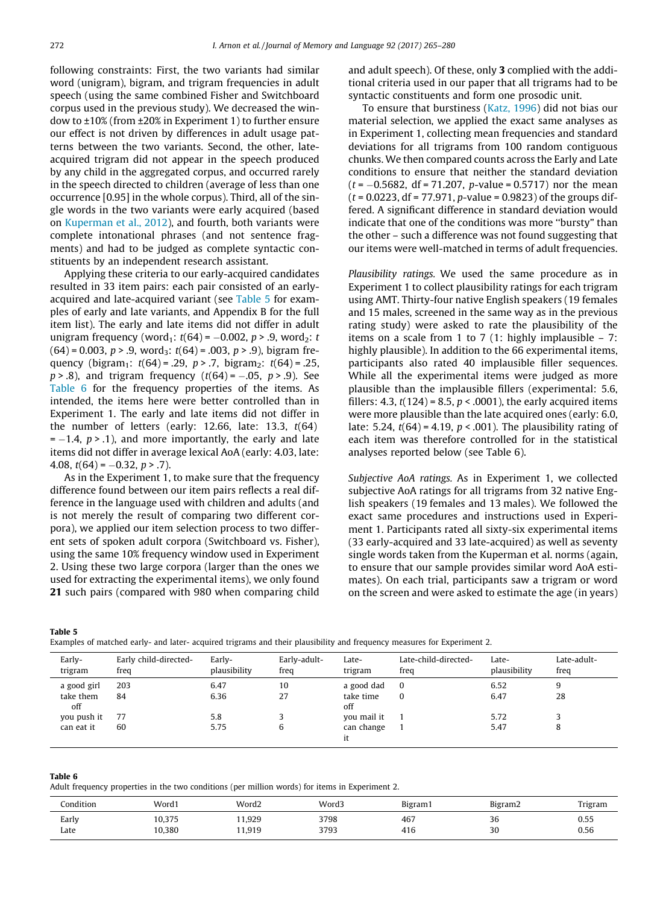following constraints: First, the two variants had similar word (unigram), bigram, and trigram frequencies in adult speech (using the same combined Fisher and Switchboard corpus used in the previous study). We decreased the window to ±10% (from ±20% in Experiment 1) to further ensure our effect is not driven by differences in adult usage patterns between the two variants. Second, the other, lateacquired trigram did not appear in the speech produced by any child in the aggregated corpus, and occurred rarely in the speech directed to children (average of less than one occurrence [0.95] in the whole corpus). Third, all of the single words in the two variants were early acquired (based on [Kuperman et al., 2012\)](#page-14-0), and fourth, both variants were complete intonational phrases (and not sentence fragments) and had to be judged as complete syntactic constituents by an independent research assistant.

Applying these criteria to our early-acquired candidates resulted in 33 item pairs: each pair consisted of an earlyacquired and late-acquired variant (see Table 5 for examples of early and late variants, and Appendix B for the full item list). The early and late items did not differ in adult unigram frequency (word<sub>1</sub>:  $t(64) = -0.002$ ,  $p > 0.9$ , word<sub>2</sub>: t  $(64) = 0.003$ ,  $p > .9$ , word<sub>3</sub>:  $t(64) = .003$ ,  $p > .9$ ), bigram frequency (bigram<sub>1</sub>:  $t(64) = .29$ ,  $p > .7$ , bigram<sub>2</sub>:  $t(64) = .25$ ,  $p > .8$ ), and trigram frequency  $(t(64) = -.05, p > .9)$ . See Table 6 for the frequency properties of the items. As intended, the items here were better controlled than in Experiment 1. The early and late items did not differ in the number of letters (early: 12.66, late: 13.3,  $t(64)$  $= -1.4$ ,  $p > 0.1$ , and more importantly, the early and late items did not differ in average lexical AoA (early: 4.03, late: 4.08,  $t(64) = -0.32$ ,  $p > .7$ ).

As in the Experiment 1, to make sure that the frequency difference found between our item pairs reflects a real difference in the language used with children and adults (and is not merely the result of comparing two different corpora), we applied our item selection process to two different sets of spoken adult corpora (Switchboard vs. Fisher), using the same 10% frequency window used in Experiment 2. Using these two large corpora (larger than the ones we used for extracting the experimental items), we only found 21 such pairs (compared with 980 when comparing child

and adult speech). Of these, only 3 complied with the additional criteria used in our paper that all trigrams had to be syntactic constituents and form one prosodic unit.

To ensure that burstiness [\(Katz, 1996\)](#page-14-0) did not bias our material selection, we applied the exact same analyses as in Experiment 1, collecting mean frequencies and standard deviations for all trigrams from 100 random contiguous chunks. We then compared counts across the Early and Late conditions to ensure that neither the standard deviation  $(t = -0.5682, df = 71.207, p-value = 0.5717)$  nor the mean  $(t = 0.0223, df = 77.971, p-value = 0.9823)$  of the groups differed. A significant difference in standard deviation would indicate that one of the conditions was more ''bursty" than the other – such a difference was not found suggesting that our items were well-matched in terms of adult frequencies.

Plausibility ratings. We used the same procedure as in Experiment 1 to collect plausibility ratings for each trigram using AMT. Thirty-four native English speakers (19 females and 15 males, screened in the same way as in the previous rating study) were asked to rate the plausibility of the items on a scale from 1 to 7 (1: highly implausible – 7: highly plausible). In addition to the 66 experimental items, participants also rated 40 implausible filler sequences. While all the experimental items were judged as more plausible than the implausible fillers (experimental: 5.6, fillers: 4.3,  $t(124) = 8.5$ ,  $p < .0001$ ), the early acquired items were more plausible than the late acquired ones (early: 6.0, late: 5.24,  $t(64) = 4.19$ ,  $p < .001$ ). The plausibility rating of each item was therefore controlled for in the statistical analyses reported below (see Table 6).

Subjective AoA ratings. As in Experiment 1, we collected subjective AoA ratings for all trigrams from 32 native English speakers (19 females and 13 males). We followed the exact same procedures and instructions used in Experiment 1. Participants rated all sixty-six experimental items (33 early-acquired and 33 late-acquired) as well as seventy single words taken from the Kuperman et al. norms (again, to ensure that our sample provides similar word AoA estimates). On each trial, participants saw a trigram or word on the screen and were asked to estimate the age (in years)

Table 5

Examples of matched early- and later- acquired trigrams and their plausibility and frequency measures for Experiment 2.

| Early-<br>trigram               | Early child-directed-<br>freq | Early-<br>plausibility | Early-adult-<br>freq | Late-<br>trigram                | Late-child-directed-<br>freq | Late-<br>plausibility | Late-adult-<br>freq |
|---------------------------------|-------------------------------|------------------------|----------------------|---------------------------------|------------------------------|-----------------------|---------------------|
| a good girl<br>take them<br>off | 203<br>84                     | 6.47<br>6.36           | 10<br>27             | a good dad<br>take time<br>off  | $\mathbf{0}$<br>$\bf{0}$     | 6.52<br>6.47          | 9<br>28             |
| you push it<br>can eat it       | 77<br>60                      | 5.8<br>5.75            | 6                    | you mail it<br>can change<br>it |                              | 5.72<br>5.47          |                     |

Table 6

Adult frequency properties in the two conditions (per million words) for items in Experiment 2.

| Condition     | Word1            | Word <sub>2</sub> | Word3        | Bigram1    | Bigram2            | Trigram      |
|---------------|------------------|-------------------|--------------|------------|--------------------|--------------|
| Early<br>Late | 10,375<br>10.380 | 1,929<br>11,919   | 3798<br>3793 | 467<br>416 | 36<br>$\sim$<br>30 | 0.55<br>0.56 |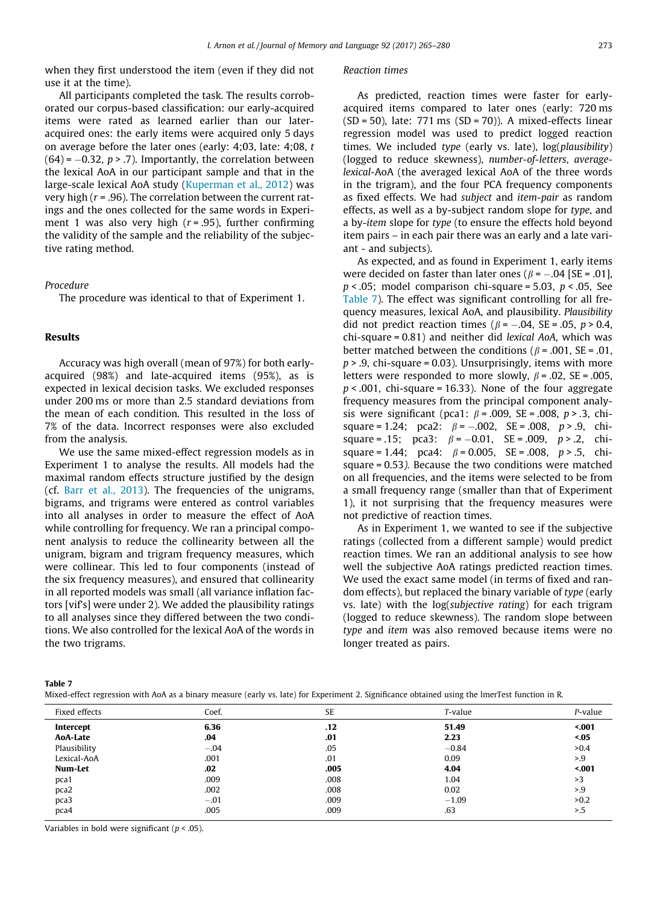when they first understood the item (even if they did not use it at the time).

All participants completed the task. The results corroborated our corpus-based classification: our early-acquired items were rated as learned earlier than our lateracquired ones: the early items were acquired only 5 days on average before the later ones (early: 4;03, late: 4;08, t  $(64) = -0.32$ ,  $p > .7$ ). Importantly, the correlation between the lexical AoA in our participant sample and that in the large-scale lexical AoA study ([Kuperman et al., 2012](#page-14-0)) was very high ( $r = .96$ ). The correlation between the current ratings and the ones collected for the same words in Experiment 1 was also very high  $(r = .95)$ , further confirming the validity of the sample and the reliability of the subjective rating method.

### Procedure

The procedure was identical to that of Experiment 1.

# Results

Accuracy was high overall (mean of 97%) for both earlyacquired (98%) and late-acquired items (95%), as is expected in lexical decision tasks. We excluded responses under 200 ms or more than 2.5 standard deviations from the mean of each condition. This resulted in the loss of 7% of the data. Incorrect responses were also excluded from the analysis.

We use the same mixed-effect regression models as in Experiment 1 to analyse the results. All models had the maximal random effects structure justified by the design (cf. [Barr et al., 2013\)](#page-14-0). The frequencies of the unigrams, bigrams, and trigrams were entered as control variables into all analyses in order to measure the effect of AoA while controlling for frequency. We ran a principal component analysis to reduce the collinearity between all the unigram, bigram and trigram frequency measures, which were collinear. This led to four components (instead of the six frequency measures), and ensured that collinearity in all reported models was small (all variance inflation factors [vif's] were under 2). We added the plausibility ratings to all analyses since they differed between the two conditions. We also controlled for the lexical AoA of the words in the two trigrams.

# Reaction times

As predicted, reaction times were faster for earlyacquired items compared to later ones (early: 720 ms  $(SD = 50)$ , late: 771 ms  $(SD = 70)$ ). A mixed-effects linear regression model was used to predict logged reaction times. We included type (early vs. late),  $log(plausibility)$ (logged to reduce skewness), number-of-letters, averagelexical-AoA (the averaged lexical AoA of the three words in the trigram), and the four PCA frequency components as fixed effects. We had subject and item-pair as random effects, as well as a by-subject random slope for type, and a by-item slope for type (to ensure the effects hold beyond item pairs – in each pair there was an early and a late variant - and subjects).

As expected, and as found in Experiment 1, early items were decided on faster than later ones ( $\beta$  = -.04 [SE = .01],  $p < .05$ ; model comparison chi-square = 5.03,  $p < .05$ , See Table 7). The effect was significant controlling for all frequency measures, lexical AoA, and plausibility. Plausibility did not predict reaction times ( $\beta$  = -.04, SE = .05, p > 0.4, chi-square = 0.81) and neither did lexical AoA, which was better matched between the conditions ( $\beta$  = .001, SE = .01,  $p > .9$ , chi-square = 0.03). Unsurprisingly, items with more letters were responded to more slowly,  $\beta$  = .02, SE = .005,  $p < .001$ , chi-square = 16.33). None of the four aggregate frequency measures from the principal component analysis were significant (pca1:  $\beta$  = .009, SE = .008, p > .3, chisquare = 1.24; pca2:  $\beta$  = -.002, SE = .008, p > .9, chisquare = .15; pca3:  $\beta$  = -0.01, SE = .009, p > .2, chisquare = 1.44; pca4:  $\beta$  = 0.005, SE = .008, p > .5, chisquare = 0.53). Because the two conditions were matched on all frequencies, and the items were selected to be from a small frequency range (smaller than that of Experiment 1), it not surprising that the frequency measures were not predictive of reaction times.

As in Experiment 1, we wanted to see if the subjective ratings (collected from a different sample) would predict reaction times. We ran an additional analysis to see how well the subjective AoA ratings predicted reaction times. We used the exact same model (in terms of fixed and random effects), but replaced the binary variable of type (early vs. late) with the log(subjective rating) for each trigram (logged to reduce skewness). The random slope between type and item was also removed because items were no longer treated as pairs.

Table 7

| Mixed-effect regression with AoA as a binary measure (early vs. late) for Experiment 2. Significance obtained using the ImerTest function in R. |  |  |
|-------------------------------------------------------------------------------------------------------------------------------------------------|--|--|
|                                                                                                                                                 |  |  |

| Fixed effects | Coef.  | <b>SE</b> | $T$ -value | P-value |
|---------------|--------|-----------|------------|---------|
| Intercept     | 6.36   | .12       | 51.49      | 5001    |
| AoA-Late      | .04    | .01       | 2.23       | < 0.05  |
| Plausibility  | $-.04$ | .05       | $-0.84$    | >0.4    |
| Lexical-AoA   | .001   | .01       | 0.09       | > 9     |
| Num-Let       | .02    | .005      | 4.04       | < 0.01  |
| pca1          | .009   | .008      | 1.04       | >3      |
| pca2          | .002   | .008      | 0.02       | > 9     |
| pca3          | $-.01$ | .009      | $-1.09$    | >0.2    |
| pca4          | .005   | .009      | .63        | > 5     |
|               |        |           |            |         |

Variables in bold were significant ( $p < .05$ ).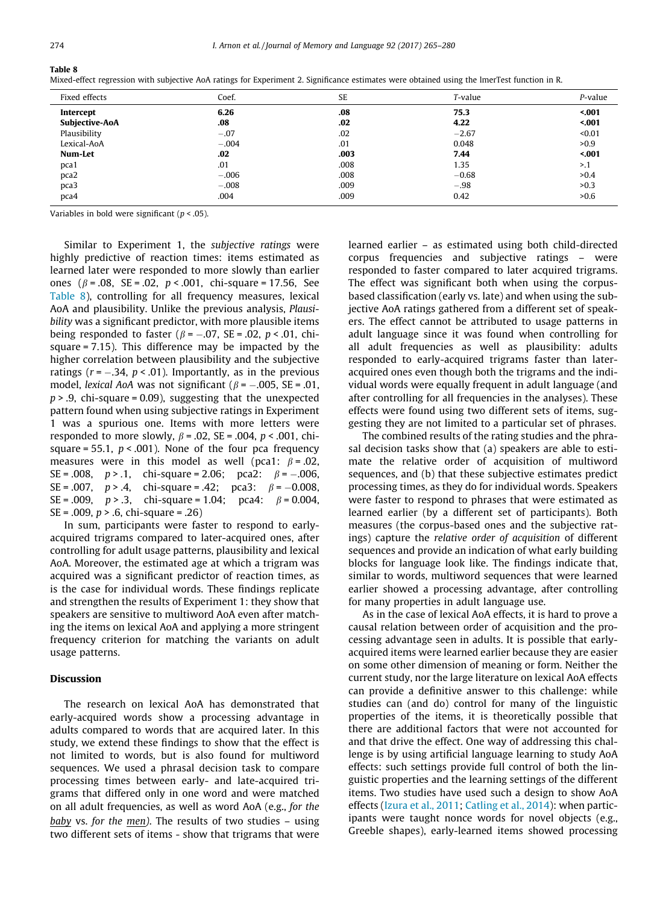# Table 8

Mixed-effect regression with subjective AoA ratings for Experiment 2. Significance estimates were obtained using the lmerTest function in R.

| Fixed effects  | Coef.   | <b>SE</b> | $T$ -value | P-value |
|----------------|---------|-----------|------------|---------|
| Intercept      | 6.26    | .08       | 75.3       | 5001    |
| Subjective-AoA | .08     | .02       | 4.22       | < 0.01  |
| Plausibility   | $-.07$  | .02       | $-2.67$    | < 0.01  |
| Lexical-AoA    | $-.004$ | .01       | 0.048      | >0.9    |
| Num-Let        | .02     | .003      | 7.44       | < 0.01  |
| pca1           | .01     | .008      | 1.35       | >1      |
| pca2           | $-.006$ | .008      | $-0.68$    | >0.4    |
| pca3           | $-.008$ | .009      | $-.98$     | >0.3    |
| pca4           | .004    | .009      | 0.42       | >0.6    |

Variables in bold were significant ( $p < .05$ ).

Similar to Experiment 1, the subjective ratings were highly predictive of reaction times: items estimated as learned later were responded to more slowly than earlier ones  $(\beta = .08, \text{ SE} = .02, p < .001, \text{ chi-square} = 17.56, \text{ See}$ Table 8), controlling for all frequency measures, lexical AoA and plausibility. Unlike the previous analysis, Plausibility was a significant predictor, with more plausible items being responded to faster ( $\beta$  = -.07, SE = .02, p < .01, chisquare = 7.15). This difference may be impacted by the higher correlation between plausibility and the subjective ratings ( $r = -.34$ ,  $p < .01$ ). Importantly, as in the previous model, lexical AoA was not significant ( $\beta$  = -.005, SE = .01,  $p > .9$ , chi-square = 0.09), suggesting that the unexpected pattern found when using subjective ratings in Experiment 1 was a spurious one. Items with more letters were responded to more slowly,  $\beta$  = .02, SE = .004, p < .001, chisquare = 55.1,  $p < .001$ ). None of the four pca frequency measures were in this model as well (pca1:  $\beta$  = .02, SE = .008,  $p > 0.1$ , chi-square = 2.06; pca2:  $\beta = -0.006$ , SE = .007,  $p > .4$ , chi-square = .42; pca3:  $\beta = -0.008$ , SE = .009,  $p > .3$ , chi-square = 1.04; pca4:  $\beta = 0.004$ , SE = .009,  $p > .6$ , chi-square = .26)

In sum, participants were faster to respond to earlyacquired trigrams compared to later-acquired ones, after controlling for adult usage patterns, plausibility and lexical AoA. Moreover, the estimated age at which a trigram was acquired was a significant predictor of reaction times, as is the case for individual words. These findings replicate and strengthen the results of Experiment 1: they show that speakers are sensitive to multiword AoA even after matching the items on lexical AoA and applying a more stringent frequency criterion for matching the variants on adult usage patterns.

## Discussion

The research on lexical AoA has demonstrated that early-acquired words show a processing advantage in adults compared to words that are acquired later. In this study, we extend these findings to show that the effect is not limited to words, but is also found for multiword sequences. We used a phrasal decision task to compare processing times between early- and late-acquired trigrams that differed only in one word and were matched on all adult frequencies, as well as word AoA (e.g., for the baby vs. for the men). The results of two studies – using two different sets of items - show that trigrams that were

learned earlier – as estimated using both child-directed corpus frequencies and subjective ratings – were responded to faster compared to later acquired trigrams. The effect was significant both when using the corpusbased classification (early vs. late) and when using the subjective AoA ratings gathered from a different set of speakers. The effect cannot be attributed to usage patterns in adult language since it was found when controlling for all adult frequencies as well as plausibility: adults responded to early-acquired trigrams faster than lateracquired ones even though both the trigrams and the individual words were equally frequent in adult language (and after controlling for all frequencies in the analyses). These effects were found using two different sets of items, suggesting they are not limited to a particular set of phrases.

The combined results of the rating studies and the phrasal decision tasks show that (a) speakers are able to estimate the relative order of acquisition of multiword sequences, and (b) that these subjective estimates predict processing times, as they do for individual words. Speakers were faster to respond to phrases that were estimated as learned earlier (by a different set of participants). Both measures (the corpus-based ones and the subjective ratings) capture the relative order of acquisition of different sequences and provide an indication of what early building blocks for language look like. The findings indicate that, similar to words, multiword sequences that were learned earlier showed a processing advantage, after controlling for many properties in adult language use.

As in the case of lexical AoA effects, it is hard to prove a causal relation between order of acquisition and the processing advantage seen in adults. It is possible that earlyacquired items were learned earlier because they are easier on some other dimension of meaning or form. Neither the current study, nor the large literature on lexical AoA effects can provide a definitive answer to this challenge: while studies can (and do) control for many of the linguistic properties of the items, it is theoretically possible that there are additional factors that were not accounted for and that drive the effect. One way of addressing this challenge is by using artificial language learning to study AoA effects: such settings provide full control of both the linguistic properties and the learning settings of the different items. Two studies have used such a design to show AoA effects ([Izura et al., 2011;](#page-14-0) [Catling et al., 2014](#page-14-0)): when participants were taught nonce words for novel objects (e.g., Greeble shapes), early-learned items showed processing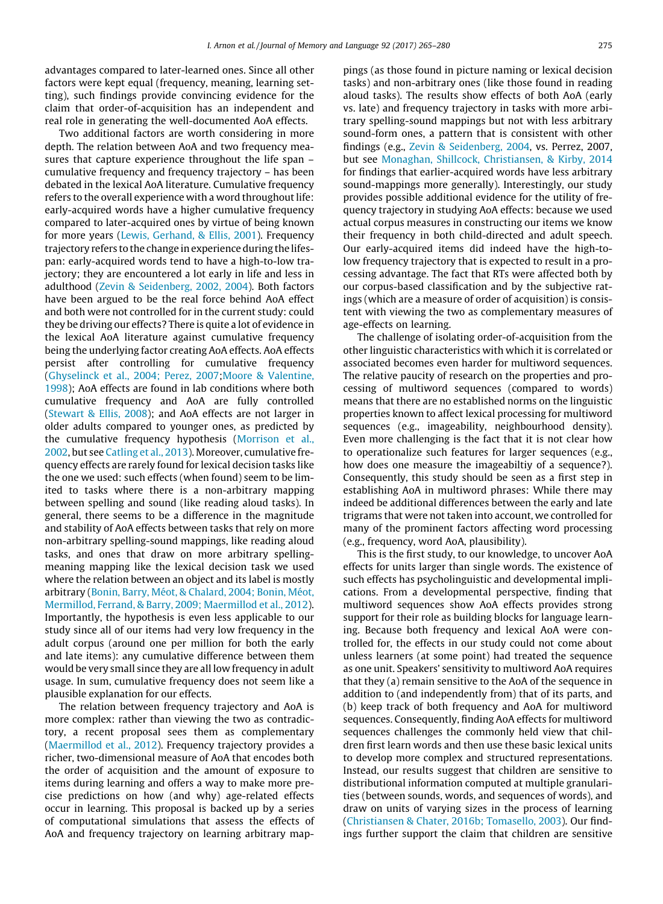advantages compared to later-learned ones. Since all other factors were kept equal (frequency, meaning, learning setting), such findings provide convincing evidence for the claim that order-of-acquisition has an independent and real role in generating the well-documented AoA effects.

Two additional factors are worth considering in more depth. The relation between AoA and two frequency measures that capture experience throughout the life span – cumulative frequency and frequency trajectory – has been debated in the lexical AoA literature. Cumulative frequency refers to the overall experience with a word throughout life: early-acquired words have a higher cumulative frequency compared to later-acquired ones by virtue of being known for more years [\(Lewis, Gerhand, & Ellis, 2001](#page-14-0)). Frequency trajectory refers to the change in experience during the lifespan: early-acquired words tend to have a high-to-low trajectory; they are encountered a lot early in life and less in adulthood ([Zevin & Seidenberg, 2002, 2004\)](#page-15-0). Both factors have been argued to be the real force behind AoA effect and both were not controlled for in the current study: could they be driving our effects? There is quite a lot of evidence in the lexical AoA literature against cumulative frequency being the underlying factor creating AoA effects. AoA effects persist after controlling for cumulative frequency ([Ghyselinck et al., 2004; Perez, 2007;](#page-14-0)[Moore & Valentine,](#page-15-0) [1998\)](#page-15-0); AoA effects are found in lab conditions where both cumulative frequency and AoA are fully controlled ([Stewart & Ellis, 2008](#page-15-0)); and AoA effects are not larger in older adults compared to younger ones, as predicted by the cumulative frequency hypothesis ([Morrison et al.,](#page-15-0) [2002,](#page-15-0) but see [Catling et al., 2013\)](#page-14-0). Moreover, cumulative frequency effects are rarely found for lexical decision tasks like the one we used: such effects (when found) seem to be limited to tasks where there is a non-arbitrary mapping between spelling and sound (like reading aloud tasks). In general, there seems to be a difference in the magnitude and stability of AoA effects between tasks that rely on more non-arbitrary spelling-sound mappings, like reading aloud tasks, and ones that draw on more arbitrary spellingmeaning mapping like the lexical decision task we used where the relation between an object and its label is mostly arbitrary (Bonin, Barry, Méot, & Chalard, 2004; Bonin, Méot, [Mermillod, Ferrand, & Barry, 2009; Maermillod et al., 2012](#page-14-0)). Importantly, the hypothesis is even less applicable to our study since all of our items had very low frequency in the adult corpus (around one per million for both the early and late items): any cumulative difference between them would be very small since they are all low frequency in adult usage. In sum, cumulative frequency does not seem like a plausible explanation for our effects.

The relation between frequency trajectory and AoA is more complex: rather than viewing the two as contradictory, a recent proposal sees them as complementary ([Maermillod et al., 2012](#page-15-0)). Frequency trajectory provides a richer, two-dimensional measure of AoA that encodes both the order of acquisition and the amount of exposure to items during learning and offers a way to make more precise predictions on how (and why) age-related effects occur in learning. This proposal is backed up by a series of computational simulations that assess the effects of AoA and frequency trajectory on learning arbitrary mappings (as those found in picture naming or lexical decision tasks) and non-arbitrary ones (like those found in reading aloud tasks). The results show effects of both AoA (early vs. late) and frequency trajectory in tasks with more arbitrary spelling-sound mappings but not with less arbitrary sound-form ones, a pattern that is consistent with other findings (e.g., [Zevin & Seidenberg, 2004](#page-15-0), vs. Perrez, 2007, but see [Monaghan, Shillcock, Christiansen, & Kirby, 2014](#page-15-0) for findings that earlier-acquired words have less arbitrary sound-mappings more generally). Interestingly, our study provides possible additional evidence for the utility of frequency trajectory in studying AoA effects: because we used actual corpus measures in constructing our items we know their frequency in both child-directed and adult speech. Our early-acquired items did indeed have the high-tolow frequency trajectory that is expected to result in a processing advantage. The fact that RTs were affected both by our corpus-based classification and by the subjective ratings (which are a measure of order of acquisition) is consistent with viewing the two as complementary measures of age-effects on learning.

The challenge of isolating order-of-acquisition from the other linguistic characteristics with which it is correlated or associated becomes even harder for multiword sequences. The relative paucity of research on the properties and processing of multiword sequences (compared to words) means that there are no established norms on the linguistic properties known to affect lexical processing for multiword sequences (e.g., imageability, neighbourhood density). Even more challenging is the fact that it is not clear how to operationalize such features for larger sequences (e.g., how does one measure the imageabiltiy of a sequence?). Consequently, this study should be seen as a first step in establishing AoA in multiword phrases: While there may indeed be additional differences between the early and late trigrams that were not taken into account, we controlled for many of the prominent factors affecting word processing (e.g., frequency, word AoA, plausibility).

This is the first study, to our knowledge, to uncover AoA effects for units larger than single words. The existence of such effects has psycholinguistic and developmental implications. From a developmental perspective, finding that multiword sequences show AoA effects provides strong support for their role as building blocks for language learning. Because both frequency and lexical AoA were controlled for, the effects in our study could not come about unless learners (at some point) had treated the sequence as one unit. Speakers' sensitivity to multiword AoA requires that they (a) remain sensitive to the AoA of the sequence in addition to (and independently from) that of its parts, and (b) keep track of both frequency and AoA for multiword sequences. Consequently, finding AoA effects for multiword sequences challenges the commonly held view that children first learn words and then use these basic lexical units to develop more complex and structured representations. Instead, our results suggest that children are sensitive to distributional information computed at multiple granularities (between sounds, words, and sequences of words), and draw on units of varying sizes in the process of learning [\(Christiansen & Chater, 2016b; Tomasello, 2003](#page-14-0)). Our findings further support the claim that children are sensitive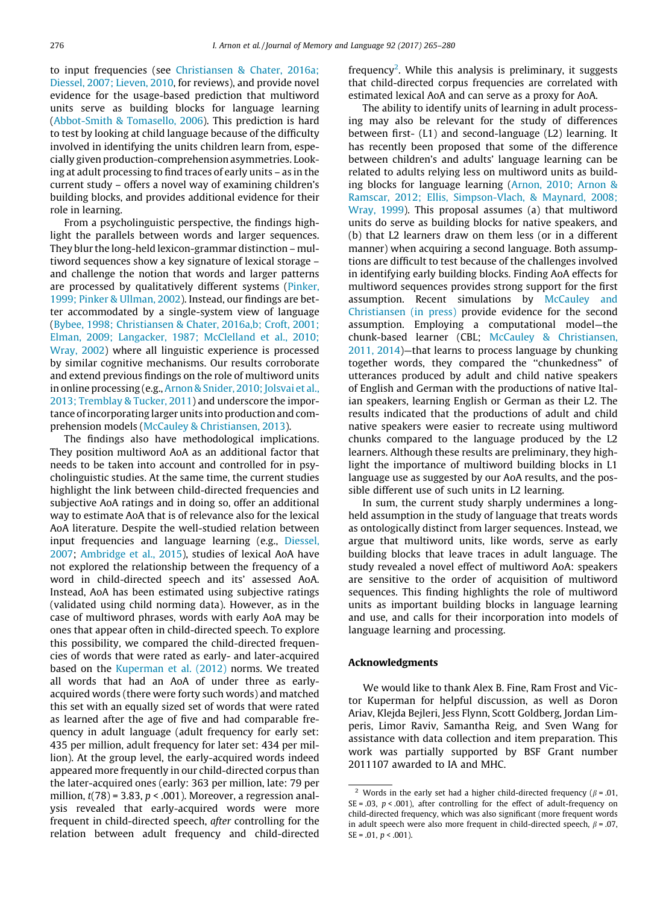to input frequencies (see [Christiansen & Chater, 2016a;](#page-14-0) [Diessel, 2007; Lieven, 2010](#page-14-0), for reviews), and provide novel evidence for the usage-based prediction that multiword units serve as building blocks for language learning [\(Abbot-Smith & Tomasello, 2006\)](#page-14-0). This prediction is hard to test by looking at child language because of the difficulty involved in identifying the units children learn from, especially given production-comprehension asymmetries. Looking at adult processing to find traces of early units – as in the current study – offers a novel way of examining children's building blocks, and provides additional evidence for their role in learning.

From a psycholinguistic perspective, the findings highlight the parallels between words and larger sequences. They blur the long-held lexicon-grammar distinction – multiword sequences show a key signature of lexical storage – and challenge the notion that words and larger patterns are processed by qualitatively different systems [\(Pinker,](#page-15-0) [1999; Pinker & Ullman, 2002](#page-15-0)). Instead, our findings are better accommodated by a single-system view of language [\(Bybee, 1998; Christiansen & Chater, 2016a,b; Croft, 2001;](#page-14-0) [Elman, 2009; Langacker, 1987; McClelland et al., 2010;](#page-14-0) [Wray, 2002](#page-14-0)) where all linguistic experience is processed by similar cognitive mechanisms. Our results corroborate and extend previous findings on the role of multiword units in online processing (e.g., [Arnon & Snider, 2010; Jolsvai et al.,](#page-14-0) [2013; Tremblay & Tucker, 2011\)](#page-14-0) and underscore the importance of incorporating larger units into production and comprehension models ([McCauley & Christiansen, 2013](#page-15-0)).

The findings also have methodological implications. They position multiword AoA as an additional factor that needs to be taken into account and controlled for in psycholinguistic studies. At the same time, the current studies highlight the link between child-directed frequencies and subjective AoA ratings and in doing so, offer an additional way to estimate AoA that is of relevance also for the lexical AoA literature. Despite the well-studied relation between input frequencies and language learning (e.g., [Diessel,](#page-14-0) [2007](#page-14-0); [Ambridge et al., 2015\)](#page-14-0), studies of lexical AoA have not explored the relationship between the frequency of a word in child-directed speech and its' assessed AoA. Instead, AoA has been estimated using subjective ratings (validated using child norming data). However, as in the case of multiword phrases, words with early AoA may be ones that appear often in child-directed speech. To explore this possibility, we compared the child-directed frequencies of words that were rated as early- and later-acquired based on the [Kuperman et al. \(2012\)](#page-14-0) norms. We treated all words that had an AoA of under three as earlyacquired words (there were forty such words) and matched this set with an equally sized set of words that were rated as learned after the age of five and had comparable frequency in adult language (adult frequency for early set: 435 per million, adult frequency for later set: 434 per million). At the group level, the early-acquired words indeed appeared more frequently in our child-directed corpus than the later-acquired ones (early: 363 per million, late: 79 per million,  $t(78) = 3.83$ ,  $p < .001$ ). Moreover, a regression analysis revealed that early-acquired words were more frequent in child-directed speech, after controlling for the relation between adult frequency and child-directed

frequency<sup>2</sup>. While this analysis is preliminary, it suggests that child-directed corpus frequencies are correlated with estimated lexical AoA and can serve as a proxy for AoA.

The ability to identify units of learning in adult processing may also be relevant for the study of differences between first- (L1) and second-language (L2) learning. It has recently been proposed that some of the difference between children's and adults' language learning can be related to adults relying less on multiword units as building blocks for language learning [\(Arnon, 2010; Arnon &](#page-14-0) [Ramscar, 2012; Ellis, Simpson-Vlach, & Maynard, 2008;](#page-14-0) [Wray, 1999\)](#page-14-0). This proposal assumes (a) that multiword units do serve as building blocks for native speakers, and (b) that L2 learners draw on them less (or in a different manner) when acquiring a second language. Both assumptions are difficult to test because of the challenges involved in identifying early building blocks. Finding AoA effects for multiword sequences provides strong support for the first assumption. Recent simulations by [McCauley and](#page-15-0) [Christiansen \(in press\)](#page-15-0) provide evidence for the second assumption. Employing a computational model—the chunk-based learner (CBL; [McCauley & Christiansen,](#page-15-0) [2011, 2014\)](#page-15-0)—that learns to process language by chunking together words, they compared the ''chunkedness" of utterances produced by adult and child native speakers of English and German with the productions of native Italian speakers, learning English or German as their L2. The results indicated that the productions of adult and child native speakers were easier to recreate using multiword chunks compared to the language produced by the L2 learners. Although these results are preliminary, they highlight the importance of multiword building blocks in L1 language use as suggested by our AoA results, and the possible different use of such units in L2 learning.

In sum, the current study sharply undermines a longheld assumption in the study of language that treats words as ontologically distinct from larger sequences. Instead, we argue that multiword units, like words, serve as early building blocks that leave traces in adult language. The study revealed a novel effect of multiword AoA: speakers are sensitive to the order of acquisition of multiword sequences. This finding highlights the role of multiword units as important building blocks in language learning and use, and calls for their incorporation into models of language learning and processing.

# Acknowledgments

We would like to thank Alex B. Fine, Ram Frost and Victor Kuperman for helpful discussion, as well as Doron Ariav, Klejda Bejleri, Jess Flynn, Scott Goldberg, Jordan Limperis, Limor Raviv, Samantha Reig, and Sven Wang for assistance with data collection and item preparation. This work was partially supported by BSF Grant number 2011107 awarded to IA and MHC.

<sup>&</sup>lt;sup>2</sup> Words in the early set had a higher child-directed frequency ( $\beta$  = .01, SE = .03,  $p <$  .001), after controlling for the effect of adult-frequency on child-directed frequency, which was also significant (more frequent words in adult speech were also more frequent in child-directed speech,  $\beta$  = .07,  $SE = .01, p < .001$ ).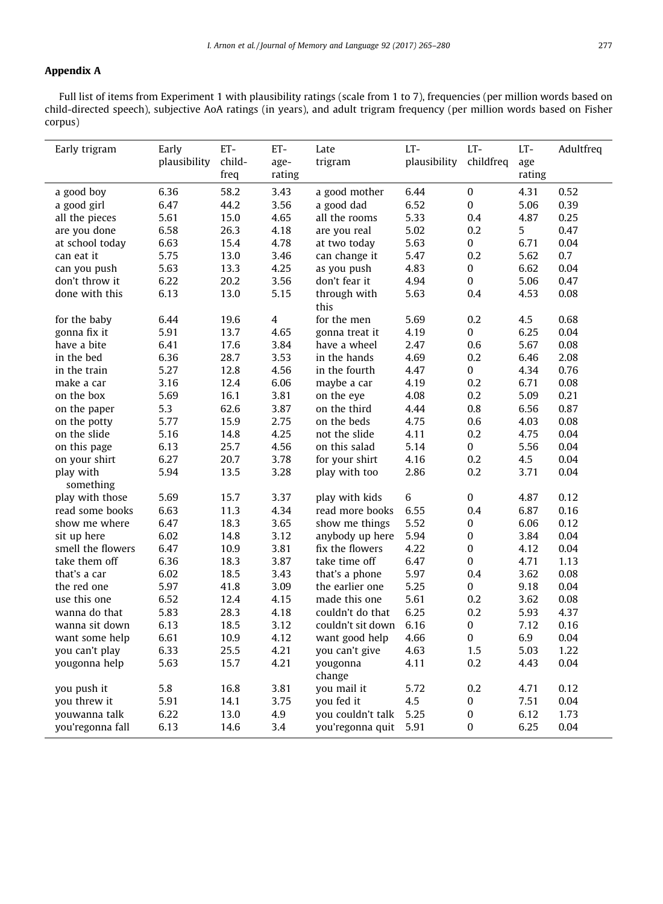# Appendix A

Full list of items from Experiment 1 with plausibility ratings (scale from 1 to 7), frequencies (per million words based on child-directed speech), subjective AoA ratings (in years), and adult trigram frequency (per million words based on Fisher corpus)

| Early trigram     | Early<br>plausibility | ET-<br>child- | ET-<br>age- | Late<br>trigram      | LT-<br>plausibility | LT-<br>childfreq | LT-<br>age | Adultfreq |
|-------------------|-----------------------|---------------|-------------|----------------------|---------------------|------------------|------------|-----------|
|                   |                       | freq          | rating      |                      |                     |                  | rating     |           |
| a good boy        | 6.36                  | 58.2          | 3.43        | a good mother        | 6.44                | $\mathbf{0}$     | 4.31       | 0.52      |
| a good girl       | 6.47                  | 44.2          | 3.56        | a good dad           | 6.52                | 0                | 5.06       | 0.39      |
| all the pieces    | 5.61                  | 15.0          | 4.65        | all the rooms        | 5.33                | 0.4              | 4.87       | 0.25      |
| are you done      | 6.58                  | 26.3          | 4.18        | are you real         | 5.02                | 0.2              | 5          | 0.47      |
| at school today   | 6.63                  | 15.4          | 4.78        | at two today         | 5.63                | 0                | 6.71       | 0.04      |
| can eat it        | 5.75                  | 13.0          | 3.46        | can change it        | 5.47                | 0.2              | 5.62       | 0.7       |
| can you push      | 5.63                  | 13.3          | 4.25        | as you push          | 4.83                | 0                | 6.62       | 0.04      |
| don't throw it    | 6.22                  | 20.2          | 3.56        | don't fear it        | 4.94                | 0                | 5.06       | 0.47      |
| done with this    | 6.13                  | 13.0          | 5.15        | through with<br>this | 5.63                | 0.4              | 4.53       | 0.08      |
| for the baby      | 6.44                  | 19.6          | 4           | for the men          | 5.69                | 0.2              | 4.5        | 0.68      |
| gonna fix it      | 5.91                  | 13.7          | 4.65        | gonna treat it       | 4.19                | $\Omega$         | 6.25       | 0.04      |
| have a bite       | 6.41                  | 17.6          | 3.84        | have a wheel         | 2.47                | 0.6              | 5.67       | 0.08      |
| in the bed        | 6.36                  | 28.7          | 3.53        | in the hands         | 4.69                | 0.2              | 6.46       | 2.08      |
| in the train      | 5.27                  | 12.8          | 4.56        | in the fourth        | 4.47                | 0                | 4.34       | 0.76      |
| make a car        | 3.16                  | 12.4          | 6.06        | maybe a car          | 4.19                | 0.2              | 6.71       | 0.08      |
| on the box        | 5.69                  | 16.1          | 3.81        | on the eye           | 4.08                | 0.2              | 5.09       | 0.21      |
| on the paper      | 5.3                   | 62.6          | 3.87        | on the third         | 4.44                | 0.8              | 6.56       | 0.87      |
| on the potty      | 5.77                  | 15.9          | 2.75        | on the beds          | 4.75                | 0.6              | 4.03       | 0.08      |
| on the slide      | 5.16                  | 14.8          | 4.25        | not the slide        | 4.11                | 0.2              | 4.75       | 0.04      |
| on this page      | 6.13                  | 25.7          | 4.56        | on this salad        | 5.14                | 0                | 5.56       | 0.04      |
| on your shirt     | 6.27                  | 20.7          | 3.78        | for your shirt       | 4.16                | 0.2              | 4.5        | 0.04      |
| play with         | 5.94                  | 13.5          | 3.28        | play with too        | 2.86                | 0.2              | 3.71       | 0.04      |
| something         |                       |               |             |                      |                     |                  |            |           |
| play with those   | 5.69                  | 15.7          | 3.37        | play with kids       | 6                   | $\bf{0}$         | 4.87       | 0.12      |
| read some books   | 6.63                  | 11.3          | 4.34        | read more books      | 6.55                | 0.4              | 6.87       | 0.16      |
| show me where     | 6.47                  | 18.3          | 3.65        | show me things       | 5.52                | $\boldsymbol{0}$ | 6.06       | 0.12      |
| sit up here       | 6.02                  | 14.8          | 3.12        | anybody up here      | 5.94                | 0                | 3.84       | 0.04      |
| smell the flowers | 6.47                  | 10.9          | 3.81        | fix the flowers      | 4.22                | $\bf{0}$         | 4.12       | 0.04      |
| take them off     | 6.36                  | 18.3          | 3.87        | take time off        | 6.47                | 0                | 4.71       | 1.13      |
| that's a car      | 6.02                  | 18.5          | 3.43        | that's a phone       | 5.97                | 0.4              | 3.62       | 0.08      |
| the red one       | 5.97                  | 41.8          | 3.09        | the earlier one      | 5.25                | 0                | 9.18       | 0.04      |
| use this one      | 6.52                  | 12.4          | 4.15        | made this one        | 5.61                | 0.2              | 3.62       | 0.08      |
| wanna do that     | 5.83                  | 28.3          | 4.18        | couldn't do that     | 6.25                | 0.2              | 5.93       | 4.37      |
| wanna sit down    | 6.13                  | 18.5          | 3.12        | couldn't sit down    | 6.16                | 0                | 7.12       | 0.16      |
| want some help    | 6.61                  | 10.9          | 4.12        | want good help       | 4.66                | $\mathbf{0}$     | 6.9        | 0.04      |
| you can't play    | 6.33                  | 25.5          | 4.21        | you can't give       | 4.63                | 1.5              | 5.03       | 1.22      |
| yougonna help     | 5.63                  | 15.7          | 4.21        | yougonna             | 4.11                | 0.2              | 4.43       | 0.04      |
|                   |                       |               |             | change               |                     |                  |            |           |
| you push it       | 5.8                   | 16.8          | 3.81        | you mail it          | 5.72                | 0.2              | 4.71       | 0.12      |
| you threw it      | 5.91                  | 14.1          | 3.75        | you fed it           | 4.5                 | 0                | 7.51       | 0.04      |
| youwanna talk     | 6.22                  | 13.0          | 4.9         | you couldn't talk    | 5.25                | 0                | 6.12       | 1.73      |
| you'regonna fall  | 6.13                  | 14.6          | 3.4         | you'regonna quit     | 5.91                | 0                | 6.25       | 0.04      |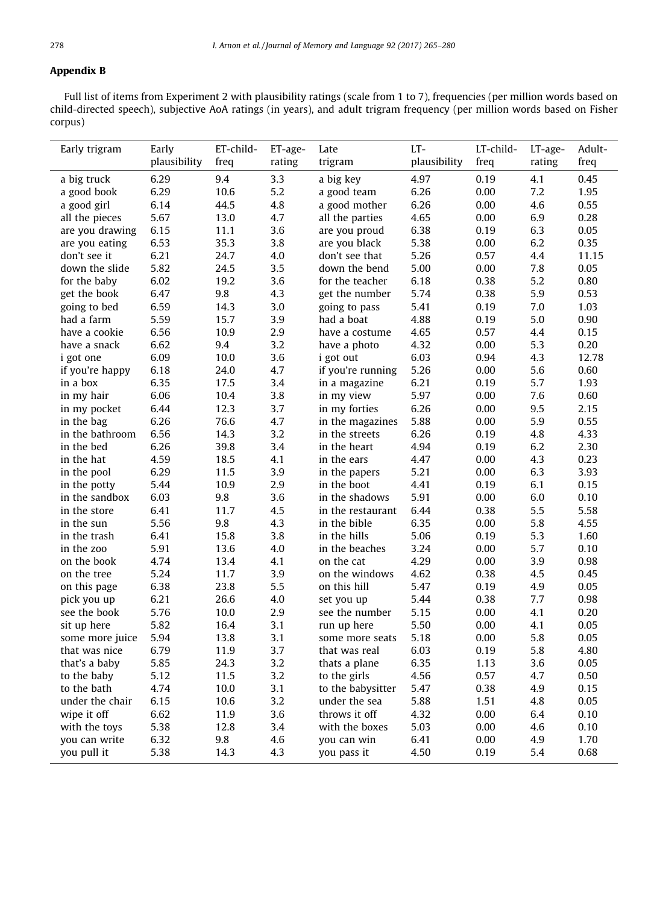# Appendix B

Full list of items from Experiment 2 with plausibility ratings (scale from 1 to 7), frequencies (per million words based on child-directed speech), subjective AoA ratings (in years), and adult trigram frequency (per million words based on Fisher corpus)

| Early trigram                  | Early<br>plausibility | ET-child-<br>freq | ET-age-<br>rating | Late<br>trigram                 | LT-<br>plausibility | LT-child-<br>freq | LT-age-<br>rating | Adult-<br>freq |
|--------------------------------|-----------------------|-------------------|-------------------|---------------------------------|---------------------|-------------------|-------------------|----------------|
|                                |                       |                   |                   |                                 |                     |                   |                   |                |
| a big truck                    | 6.29                  | 9.4               | 3.3<br>5.2        | a big key                       | 4.97<br>6.26        | 0.19<br>0.00      | 4.1<br>7.2        | 0.45           |
| a good book                    | 6.29<br>6.14          | 10.6<br>44.5      | 4.8               | a good team                     | 6.26                |                   | 4.6               | 1.95<br>0.55   |
| a good girl                    | 5.67                  |                   |                   | a good mother                   |                     | 0.00              |                   |                |
| all the pieces                 |                       | 13.0              | 4.7<br>3.6        | all the parties                 | 4.65<br>6.38        | 0.00              | 6.9               | 0.28<br>0.05   |
| are you drawing                | 6.15                  | 11.1              | 3.8               | are you proud                   |                     | 0.19              | 6.3               |                |
| are you eating                 | 6.53                  | 35.3              |                   | are you black                   | 5.38                | 0.00              | 6.2               | 0.35           |
| don't see it<br>down the slide | 6.21<br>5.82          | 24.7<br>24.5      | 4.0<br>3.5        | don't see that<br>down the bend | 5.26<br>5.00        | 0.57<br>0.00      | 4.4<br>7.8        | 11.15<br>0.05  |
|                                | 6.02                  | 19.2              | 3.6               |                                 | 6.18                | 0.38              | 5.2               | 0.80           |
| for the baby                   | 6.47                  |                   | 4.3               | for the teacher                 | 5.74                |                   | 5.9               | 0.53           |
| get the book                   |                       | 9.8<br>14.3       |                   | get the number                  | 5.41                | 0.38              |                   |                |
| going to bed                   | 6.59<br>5.59          | 15.7              | 3.0<br>3.9        | going to pass                   |                     | 0.19<br>0.19      | 7.0<br>5.0        | 1.03<br>0.90   |
| had a farm                     |                       |                   | 2.9               | had a boat                      | 4.88                |                   |                   |                |
| have a cookie                  | 6.56<br>6.62          | 10.9<br>9.4       | 3.2               | have a costume                  | 4.65<br>4.32        | 0.57              | 4.4<br>5.3        | 0.15<br>0.20   |
| have a snack                   | 6.09                  | 10.0              | 3.6               | have a photo                    |                     | 0.00              |                   | 12.78          |
| <i>i</i> got one               |                       |                   |                   | <i>i</i> got out                | 6.03                | 0.94              | 4.3               | 0.60           |
| if you're happy                | 6.18                  | 24.0              | 4.7               | if you're running               | 5.26                | 0.00              | 5.6               |                |
| in a box                       | 6.35<br>6.06          | 17.5              | 3.4               | in a magazine                   | 6.21                | 0.19              | 5.7               | 1.93           |
| in my hair                     |                       | 10.4<br>12.3      | 3.8               | in my view                      | 5.97                | 0.00              | 7.6               | 0.60           |
| in my pocket                   | 6.44                  |                   | 3.7               | in my forties                   | 6.26                | 0.00              | 9.5               | 2.15           |
| in the bag                     | 6.26                  | 76.6              | 4.7               | in the magazines                | 5.88                | 0.00              | 5.9               | 0.55           |
| in the bathroom                | 6.56                  | 14.3              | 3.2               | in the streets                  | 6.26                | 0.19              | 4.8               | 4.33           |
| in the bed                     | 6.26                  | 39.8              | 3.4               | in the heart                    | 4.94                | 0.19              | 6.2               | 2.30           |
| in the hat                     | 4.59                  | 18.5              | 4.1               | in the ears                     | 4.47                | 0.00              | 4.3               | 0.23           |
| in the pool                    | 6.29                  | 11.5              | 3.9               | in the papers                   | 5.21                | 0.00              | 6.3               | 3.93           |
| in the potty                   | 5.44                  | 10.9              | 2.9               | in the boot                     | 4.41                | 0.19              | 6.1               | 0.15           |
| in the sandbox                 | 6.03                  | 9.8               | 3.6               | in the shadows                  | 5.91                | 0.00              | 6.0               | 0.10           |
| in the store                   | 6.41                  | 11.7              | 4.5               | in the restaurant               | 6.44                | 0.38              | 5.5               | 5.58           |
| in the sun                     | 5.56                  | 9.8               | 4.3               | in the bible                    | 6.35                | 0.00              | 5.8               | 4.55           |
| in the trash                   | 6.41                  | 15.8              | 3.8               | in the hills                    | 5.06                | 0.19              | 5.3               | 1.60           |
| in the zoo                     | 5.91                  | 13.6              | 4.0               | in the beaches                  | 3.24                | 0.00              | 5.7               | 0.10           |
| on the book                    | 4.74                  | 13.4              | 4.1               | on the cat                      | 4.29                | 0.00              | 3.9               | 0.98           |
| on the tree                    | 5.24                  | 11.7              | 3.9               | on the windows                  | 4.62                | 0.38              | 4.5               | 0.45           |
| on this page                   | 6.38                  | 23.8              | 5.5               | on this hill                    | 5.47                | 0.19              | 4.9               | 0.05           |
| pick you up                    | 6.21                  | 26.6              | 4.0               | set you up                      | 5.44                | 0.38              | 7.7               | 0.98           |
| see the book                   | 5.76                  | 10.0              | 2.9               | see the number                  | 5.15                | 0.00              | 4.1               | 0.20           |
| sit up here                    | 5.82                  | 16.4              | 3.1               | run up here                     | 5.50                | 0.00              | 4.1               | 0.05           |
| some more juice                | 5.94                  | 13.8              | 3.1               | some more seats                 | 5.18                | 0.00              | 5.8               | 0.05           |
| that was nice                  | 6.79                  | 11.9              | 3.7               | that was real                   | 6.03                | 0.19              | 5.8               | 4.80           |
| that's a baby                  | 5.85                  | 24.3              | 3.2               | thats a plane                   | 6.35                | 1.13              | 3.6               | 0.05           |
| to the baby                    | 5.12                  | 11.5              | 3.2               | to the girls                    | 4.56                | 0.57              | 4.7               | 0.50           |
| to the bath                    | 4.74                  | 10.0              | 3.1               | to the babysitter               | 5.47                | 0.38              | 4.9               | 0.15           |
| under the chair                | 6.15                  | 10.6              | 3.2               | under the sea                   | 5.88                | 1.51              | 4.8               | 0.05           |
| wipe it off                    | 6.62                  | 11.9              | 3.6               | throws it off                   | 4.32                | 0.00              | 6.4               | 0.10           |
| with the toys                  | 5.38                  | 12.8              | 3.4               | with the boxes                  | 5.03                | 0.00              | 4.6               | 0.10           |
| you can write                  | 6.32                  | 9.8               | 4.6               | you can win                     | 6.41                | 0.00              | 4.9               | 1.70           |
| you pull it                    | 5.38                  | 14.3              | 4.3               | you pass it                     | 4.50                | 0.19              | 5.4               | 0.68           |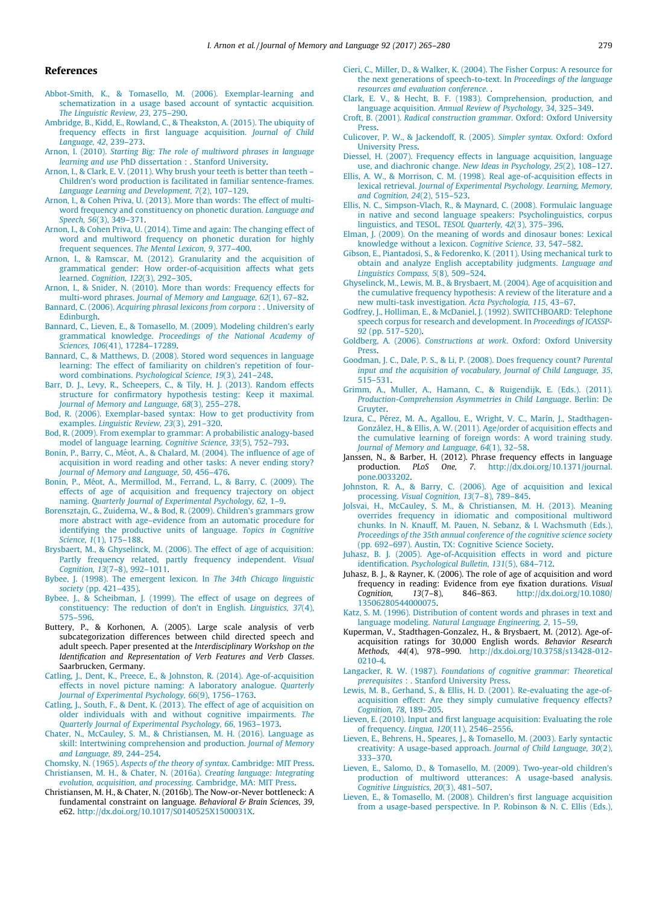#### <span id="page-14-0"></span>References

- [Abbot-Smith, K., & Tomasello, M. \(2006\). Exemplar-learning and](http://refhub.elsevier.com/S0749-596X(16)30063-8/h0005) [schematization in a usage based account of syntactic acquisition.](http://refhub.elsevier.com/S0749-596X(16)30063-8/h0005) [The Linguistic Review, 23](http://refhub.elsevier.com/S0749-596X(16)30063-8/h0005), 275–290.
- [Ambridge, B., Kidd, E., Rowland, C., & Theakston, A. \(2015\). The ubiquity of](http://refhub.elsevier.com/S0749-596X(16)30063-8/h0010) [frequency effects in first language acquisition.](http://refhub.elsevier.com/S0749-596X(16)30063-8/h0010) Journal of Child [Language, 42](http://refhub.elsevier.com/S0749-596X(16)30063-8/h0010), 239–273.
- Arnon, I. (2010). [Starting Big: The role of multiword phrases in language](http://refhub.elsevier.com/S0749-596X(16)30063-8/h0015) learning and use [PhD dissertation : . Stanford University.](http://refhub.elsevier.com/S0749-596X(16)30063-8/h0015)
- [Arnon, I., & Clark, E. V. \(2011\). Why brush your teeth is better than teeth –](http://refhub.elsevier.com/S0749-596X(16)30063-8/h0020) [Children's word production is facilitated in familiar sentence-frames.](http://refhub.elsevier.com/S0749-596X(16)30063-8/h0020) [Language Learning and Development, 7](http://refhub.elsevier.com/S0749-596X(16)30063-8/h0020)(2), 107–129.
- [Arnon, I., & Cohen Priva, U. \(2013\). More than words: The effect of multi](http://refhub.elsevier.com/S0749-596X(16)30063-8/h0025)[word frequency and constituency on phonetic duration.](http://refhub.elsevier.com/S0749-596X(16)30063-8/h0025) Language and Speech, 56[\(3\), 349–371](http://refhub.elsevier.com/S0749-596X(16)30063-8/h0025).
- [Arnon, I., & Cohen Priva, U. \(2014\). Time and again: The changing effect of](http://refhub.elsevier.com/S0749-596X(16)30063-8/h0030) [word and multiword frequency on phonetic duration for highly](http://refhub.elsevier.com/S0749-596X(16)30063-8/h0030) frequent sequences. [The Mental Lexicon, 9](http://refhub.elsevier.com/S0749-596X(16)30063-8/h0030), 377–400.
- [Arnon, I., & Ramscar, M. \(2012\). Granularity and the acquisition of](http://refhub.elsevier.com/S0749-596X(16)30063-8/h0035) [grammatical gender: How order-of-acquisition affects what gets](http://refhub.elsevier.com/S0749-596X(16)30063-8/h0035) learned. [Cognition, 122](http://refhub.elsevier.com/S0749-596X(16)30063-8/h0035)(3), 292–305.
- [Arnon, I., & Snider, N. \(2010\). More than words: Frequency effects for](http://refhub.elsevier.com/S0749-596X(16)30063-8/h0040) multi-word phrases. [Journal of Memory and Language, 62](http://refhub.elsevier.com/S0749-596X(16)30063-8/h0040)(1), 67–82.
- Bannard, C. (2006). [Acquiring phrasal lexicons from corpora](http://refhub.elsevier.com/S0749-596X(16)30063-8/h0050) : . University of **[Edinburgh](http://refhub.elsevier.com/S0749-596X(16)30063-8/h0050)**
- [Bannard, C., Lieven, E., & Tomasello, M. \(2009\). Modeling children's early](http://refhub.elsevier.com/S0749-596X(16)30063-8/h0055) grammatical knowledge. [Proceedings of the National Academy of](http://refhub.elsevier.com/S0749-596X(16)30063-8/h0055) Sciences, 106[\(41\), 17284–17289.](http://refhub.elsevier.com/S0749-596X(16)30063-8/h0055)
- [Bannard, C., & Matthews, D. \(2008\). Stored word sequences in language](http://refhub.elsevier.com/S0749-596X(16)30063-8/h0060) [learning: The effect of familiarity on children's repetition of four](http://refhub.elsevier.com/S0749-596X(16)30063-8/h0060)word combinations. [Psychological Science, 19](http://refhub.elsevier.com/S0749-596X(16)30063-8/h0060)(3), 241–248.
- [Barr, D. J., Levy, R., Scheepers, C., & Tily, H. J. \(2013\). Random effects](http://refhub.elsevier.com/S0749-596X(16)30063-8/h0065) [structure for confirmatory hypothesis testing: Keep it maximal.](http://refhub.elsevier.com/S0749-596X(16)30063-8/h0065) [Journal of Memory and Language, 68](http://refhub.elsevier.com/S0749-596X(16)30063-8/h0065)(3), 255–278.
- [Bod, R. \(2006\). Exemplar-based syntax: How to get productivity from](http://refhub.elsevier.com/S0749-596X(16)30063-8/h0070) examples. [Linguistic Review, 23](http://refhub.elsevier.com/S0749-596X(16)30063-8/h0070)(3), 291–320.
- [Bod, R. \(2009\). From exemplar to grammar: A probabilistic analogy-based](http://refhub.elsevier.com/S0749-596X(16)30063-8/h0075) [model of language learning.](http://refhub.elsevier.com/S0749-596X(16)30063-8/h0075) Cognitive Science, 33(5), 752–793.
- Bonin, P., Barry, C., Méot, A., & Chalard, M. (2004). The influence of age of [acquisition in word reading and other tasks: A never ending story?](http://refhub.elsevier.com/S0749-596X(16)30063-8/h0080) [Journal of Memory and Language, 50](http://refhub.elsevier.com/S0749-596X(16)30063-8/h0080), 456–476.
- Bonin, P., Méot, A., Mermillod, M., Ferrand, L., & Barry, C. (2009). The [effects of age of acquisition and frequency trajectory on object](http://refhub.elsevier.com/S0749-596X(16)30063-8/h0085) naming. [Quarterly Journal of Experimental Psychology, 62](http://refhub.elsevier.com/S0749-596X(16)30063-8/h0085), 1–9.
- [Borensztajn, G., Zuidema, W., & Bod, R. \(2009\). Children's grammars grow](http://refhub.elsevier.com/S0749-596X(16)30063-8/h0090) [more abstract with age–evidence from an automatic procedure for](http://refhub.elsevier.com/S0749-596X(16)30063-8/h0090) [identifying the productive units of language.](http://refhub.elsevier.com/S0749-596X(16)30063-8/h0090) Topics in Cognitive Science, 1[\(1\), 175–188.](http://refhub.elsevier.com/S0749-596X(16)30063-8/h0090)
- [Brysbaert, M., & Ghyselinck, M. \(2006\). The effect of age of acquisition:](http://refhub.elsevier.com/S0749-596X(16)30063-8/h0095) [Partly frequency related, partly frequency independent.](http://refhub.elsevier.com/S0749-596X(16)30063-8/h0095) Visual Cognition, 13[\(7–8\), 992–1011.](http://refhub.elsevier.com/S0749-596X(16)30063-8/h0095)
- [Bybee, J. \(1998\). The emergent lexicon. In](http://refhub.elsevier.com/S0749-596X(16)30063-8/h0100) The 34th Chicago linguistic society [\(pp. 421–435\).](http://refhub.elsevier.com/S0749-596X(16)30063-8/h0100)
- [Bybee, J., & Scheibman, J. \(1999\). The effect of usage on degrees of](http://refhub.elsevier.com/S0749-596X(16)30063-8/h0105) [constituency: The reduction of don't in English.](http://refhub.elsevier.com/S0749-596X(16)30063-8/h0105) Linguistics, 37(4), [575–596.](http://refhub.elsevier.com/S0749-596X(16)30063-8/h0105)
- Buttery, P., & Korhonen, A. (2005). Large scale analysis of verb subcategorization differences between child directed speech and adult speech. Paper presented at the Interdisciplinary Workshop on the Identification and Representation of Verb Features and Verb Classes. Saarbrucken, Germany.
- [Catling, J., Dent, K., Preece, E., & Johnston, R. \(2014\). Age-of-acquisition](http://refhub.elsevier.com/S0749-596X(16)30063-8/h0110) [effects in novel picture naming: A laboratory analogue.](http://refhub.elsevier.com/S0749-596X(16)30063-8/h0110) Quarterly [Journal of Experimental Psychology, 66](http://refhub.elsevier.com/S0749-596X(16)30063-8/h0110)(9), 1756–1763.
- [Catling, J., South, F., & Dent, K. \(2013\). The effect of age of acquisition on](http://refhub.elsevier.com/S0749-596X(16)30063-8/h0115) [older individuals with and without cognitive impairments.](http://refhub.elsevier.com/S0749-596X(16)30063-8/h0115) The [Quarterly Journal of Experimental Psychology, 66](http://refhub.elsevier.com/S0749-596X(16)30063-8/h0115), 1963–1973.
- [Chater, N., McCauley, S. M., & Christiansen, M. H. \(2016\). Language as](http://refhub.elsevier.com/S0749-596X(16)30063-8/h0120) [skill: Intertwining comprehension and production.](http://refhub.elsevier.com/S0749-596X(16)30063-8/h0120) Journal of Memory [and Language, 89](http://refhub.elsevier.com/S0749-596X(16)30063-8/h0120), 244–254.

Chomsky, N. (1965). [Aspects of the theory of syntax](http://refhub.elsevier.com/S0749-596X(16)30063-8/h0125). Cambridge: MIT Press.

[Christiansen, M. H., & Chater, N. \(2016a\).](http://refhub.elsevier.com/S0749-596X(16)30063-8/h0130) Creating language: Integrating [evolution, acquisition, and processing](http://refhub.elsevier.com/S0749-596X(16)30063-8/h0130). Cambridge, MA: MIT Press.

Christiansen, M. H., & Chater, N. (2016b). The Now-or-Never bottleneck: A fundamental constraint on language. Behavioral & Brain Sciences, 39, e62. [http://dx.doi.org/10.1017/S0140525X1500031X.](http://dx.doi.org/10.1017/S0140525X1500031X)

- [Cieri, C., Miller, D., & Walker, K. \(2004\). The Fisher Corpus: A resource for](http://refhub.elsevier.com/S0749-596X(16)30063-8/h0140) [the next generations of speech-to-text. In](http://refhub.elsevier.com/S0749-596X(16)30063-8/h0140) Proceedings of the language [resources and evaluation conference](http://refhub.elsevier.com/S0749-596X(16)30063-8/h0140). .
- [Clark, E. V., & Hecht, B. F. \(1983\). Comprehension, production, and](http://refhub.elsevier.com/S0749-596X(16)30063-8/h9010) language acquisition. [Annual Review of Psychology, 34](http://refhub.elsevier.com/S0749-596X(16)30063-8/h9010), 325–349.
- Croft, B. (2001). [Radical construction grammar](http://refhub.elsevier.com/S0749-596X(16)30063-8/h0145). Oxford: Oxford University **[Press](http://refhub.elsevier.com/S0749-596X(16)30063-8/h0145)**
- [Culicover, P. W., & Jackendoff, R. \(2005\).](http://refhub.elsevier.com/S0749-596X(16)30063-8/h0150) Simpler syntax. Oxford: Oxford [University Press.](http://refhub.elsevier.com/S0749-596X(16)30063-8/h0150)
- [Diessel, H. \(2007\). Frequency effects in language acquisition, language](http://refhub.elsevier.com/S0749-596X(16)30063-8/h0155) [use, and diachronic change.](http://refhub.elsevier.com/S0749-596X(16)30063-8/h0155) New Ideas in Psychology, 25(2), 108–127.
- [Ellis, A. W., & Morrison, C. M. \(1998\). Real age-of-acquisition effects in](http://refhub.elsevier.com/S0749-596X(16)30063-8/h0160) lexical retrieval. [Journal of Experimental Psychology. Learning, Memory,](http://refhub.elsevier.com/S0749-596X(16)30063-8/h0160) [and Cognition, 24](http://refhub.elsevier.com/S0749-596X(16)30063-8/h0160)(2), 515–523.
- [Ellis, N. C., Simpson-Vlach, R., & Maynard, C. \(2008\). Formulaic language](http://refhub.elsevier.com/S0749-596X(16)30063-8/h0165) [in native and second language speakers: Psycholinguistics, corpus](http://refhub.elsevier.com/S0749-596X(16)30063-8/h0165) [linguistics, and TESOL.](http://refhub.elsevier.com/S0749-596X(16)30063-8/h0165) TESOL Quarterly, 42(3), 375–396.
- [Elman, J. \(2009\). On the meaning of words and dinosaur bones: Lexical](http://refhub.elsevier.com/S0749-596X(16)30063-8/h0170) [knowledge without a lexicon.](http://refhub.elsevier.com/S0749-596X(16)30063-8/h0170) Cognitive Science, 33, 547–582.
- [Gibson, E., Piantadosi, S., & Fedorenko, K. \(2011\). Using mechanical turk to](http://refhub.elsevier.com/S0749-596X(16)30063-8/h9015) [obtain and analyze English acceptability judgments.](http://refhub.elsevier.com/S0749-596X(16)30063-8/h9015) Language and [Linguistics Compass, 5](http://refhub.elsevier.com/S0749-596X(16)30063-8/h9015)(8), 509–524.
- [Ghyselinck, M., Lewis, M. B., & Brysbaert, M. \(2004\). Age of acquisition and](http://refhub.elsevier.com/S0749-596X(16)30063-8/h0180) [the cumulative frequency hypothesis: A review of the literature and a](http://refhub.elsevier.com/S0749-596X(16)30063-8/h0180) [new multi-task investigation.](http://refhub.elsevier.com/S0749-596X(16)30063-8/h0180) Acta Psychologia, 115, 43–67.
- [Godfrey, J., Holliman, E., & McDaniel, J. \(1992\). SWITCHBOARD: Telephone](http://refhub.elsevier.com/S0749-596X(16)30063-8/h0185) [speech corpus for research and development. In](http://refhub.elsevier.com/S0749-596X(16)30063-8/h0185) Proceedings of ICASSP-92 [\(pp. 517–520\)](http://refhub.elsevier.com/S0749-596X(16)30063-8/h0185).
- Goldberg, A. (2006). Constructions at work[. Oxford: Oxford University](http://refhub.elsevier.com/S0749-596X(16)30063-8/h0190) **[Press](http://refhub.elsevier.com/S0749-596X(16)30063-8/h0190).**
- [Goodman, J. C., Dale, P. S., & Li, P. \(2008\). Does frequency count?](http://refhub.elsevier.com/S0749-596X(16)30063-8/h9020) Parental [input and the acquisition of vocabulary, Journal of Child Language, 35](http://refhub.elsevier.com/S0749-596X(16)30063-8/h9020), [515–531.](http://refhub.elsevier.com/S0749-596X(16)30063-8/h9020)
- [Grimm, A., Muller, A., Hamann, C., & Ruigendijk, E. \(Eds.\). \(2011\).](http://refhub.elsevier.com/S0749-596X(16)30063-8/h9035) [Production-Comprehension Asymmetries in Child Language](http://refhub.elsevier.com/S0749-596X(16)30063-8/h9035). Berlin: De [Gruyter](http://refhub.elsevier.com/S0749-596X(16)30063-8/h9035).
- [Izura, C., Pérez, M. A., Agallou, E., Wright, V. C., Marín, J., Stadthagen-](http://refhub.elsevier.com/S0749-596X(16)30063-8/h0195)[González, H., & Ellis, A. W. \(2011\). Age/order of acquisition effects and](http://refhub.elsevier.com/S0749-596X(16)30063-8/h0195) [the cumulative learning of foreign words: A word training study.](http://refhub.elsevier.com/S0749-596X(16)30063-8/h0195) [Journal of Memory and Language, 64](http://refhub.elsevier.com/S0749-596X(16)30063-8/h0195)(1), 32–58.
- Janssen, N., & Barber, H. (2012). Phrase frequency effects in language production. PLoS One, 7. [http://dx.doi.org/10.1371/journal.](http://dx.doi.org/10.1371/journal.pone.0033202) [pone.0033202.](http://dx.doi.org/10.1371/journal.pone.0033202)
- [Johnston, R. A., & Barry, C. \(2006\). Age of acquisition and lexical](http://refhub.elsevier.com/S0749-596X(16)30063-8/h0205) processing. [Visual Cognition, 13](http://refhub.elsevier.com/S0749-596X(16)30063-8/h0205)(7–8), 789–845.
- [Jolsvai, H., McCauley, S. M., & Christiansen, M. H. \(2013\). Meaning](http://refhub.elsevier.com/S0749-596X(16)30063-8/h0210) [overrides frequency in idiomatic and compositional multiword](http://refhub.elsevier.com/S0749-596X(16)30063-8/h0210) [chunks. In N. Knauff, M. Pauen, N. Sebanz, & I. Wachsmuth \(Eds.\),](http://refhub.elsevier.com/S0749-596X(16)30063-8/h0210) [Proceedings of the 35th annual conference of the cognitive science society](http://refhub.elsevier.com/S0749-596X(16)30063-8/h0210) [\(pp. 692–697\). Austin, TX: Cognitive Science Society](http://refhub.elsevier.com/S0749-596X(16)30063-8/h0210).
- [Juhasz, B. J. \(2005\). Age-of-Acquisition effects in word and picture](http://refhub.elsevier.com/S0749-596X(16)30063-8/h0215) identification. [Psychological Bulletin, 131](http://refhub.elsevier.com/S0749-596X(16)30063-8/h0215)(5), 684–712.
- Juhasz, B. J., & Rayner, K. (2006). The role of age of acquisition and word frequency in reading: Evidence from eye fixation durations. Visual Cognition, 13(7–8), 846–863. [http://dx.doi.org/10.1080/](http://dx.doi.org/10.1080/13506280544000075) [13506280544000075](http://dx.doi.org/10.1080/13506280544000075).
- [Katz, S. M. \(1996\). Distribution of content words and phrases in text and](http://refhub.elsevier.com/S0749-596X(16)30063-8/h0225) language modeling. [Natural Language Engineering, 2](http://refhub.elsevier.com/S0749-596X(16)30063-8/h0225), 15–59.
- Kuperman, V., Stadthagen-Gonzalez, H., & Brysbaert, M. (2012). Age-ofacquisition ratings for 30,000 English words. Behavior Research Methods, 44(4), 978–990. [http://dx.doi.org/10.3758/s13428-012-](http://dx.doi.org/10.3758/s13428-012-0210-4) [0210-4](http://dx.doi.org/10.3758/s13428-012-0210-4).
- Langacker, R. W. (1987). [Foundations of cognitive grammar: Theoretical](http://refhub.elsevier.com/S0749-596X(16)30063-8/h0235) prerequisites [: . Stanford University Press.](http://refhub.elsevier.com/S0749-596X(16)30063-8/h0235)
- [Lewis, M. B., Gerhand, S., & Ellis, H. D. \(2001\). Re-evaluating the age-of](http://refhub.elsevier.com/S0749-596X(16)30063-8/h0240)[acquisition effect: Are they simply cumulative frequency effects?](http://refhub.elsevier.com/S0749-596X(16)30063-8/h0240) [Cognition, 78](http://refhub.elsevier.com/S0749-596X(16)30063-8/h0240), 189–205.
- [Lieven, E. \(2010\). Input and first language acquisition: Evaluating the role](http://refhub.elsevier.com/S0749-596X(16)30063-8/h0245) of frequency. Lingua, 120[\(11\), 2546–2556.](http://refhub.elsevier.com/S0749-596X(16)30063-8/h0245)
- [Lieven, E., Behrens, H., Speares, J., & Tomasello, M. \(2003\). Early syntactic](http://refhub.elsevier.com/S0749-596X(16)30063-8/h0250) [creativity: A usage-based approach.](http://refhub.elsevier.com/S0749-596X(16)30063-8/h0250) Journal of Child Language, 30(2), [333–370.](http://refhub.elsevier.com/S0749-596X(16)30063-8/h0250)
- [Lieven, E., Salomo, D., & Tomasello, M. \(2009\). Two-year-old children's](http://refhub.elsevier.com/S0749-596X(16)30063-8/h0255) [production of multiword utterances: A usage-based analysis.](http://refhub.elsevier.com/S0749-596X(16)30063-8/h0255) [Cognitive Linguistics, 20](http://refhub.elsevier.com/S0749-596X(16)30063-8/h0255)(3), 481–507.
- [Lieven, E., & Tomasello, M. \(2008\). Children's first language acquisition](http://refhub.elsevier.com/S0749-596X(16)30063-8/h0260) [from a usage-based perspective. In P. Robinson & N. C. Ellis \(Eds.\),](http://refhub.elsevier.com/S0749-596X(16)30063-8/h0260)